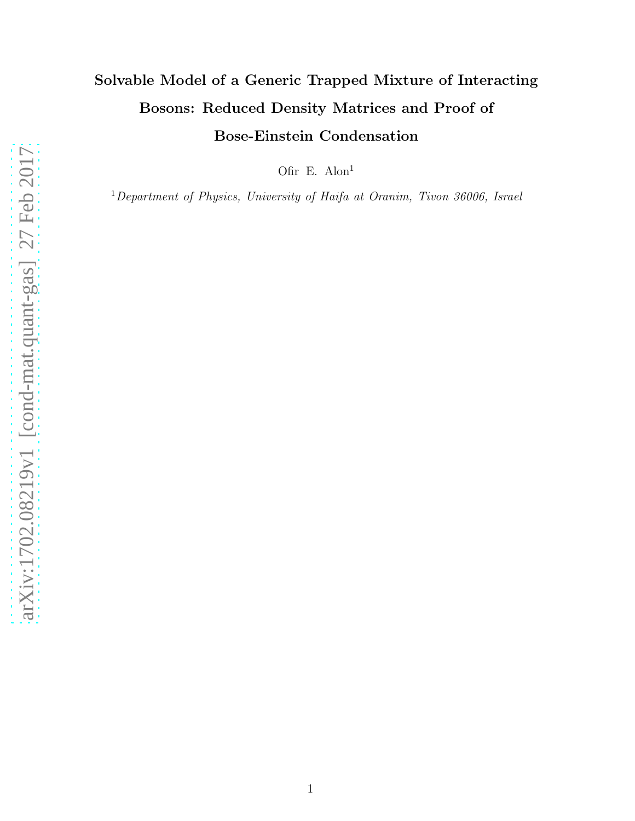# Solvable Model of a Generic Trapped Mixture of Interacting Bosons: Reduced Density Matrices and Proof of Bose-Einstein Condensation

Ofir E. Alon<sup>1</sup>

<sup>1</sup>Department of Physics, University of Haifa at Oranim, Tivon 36006, Israel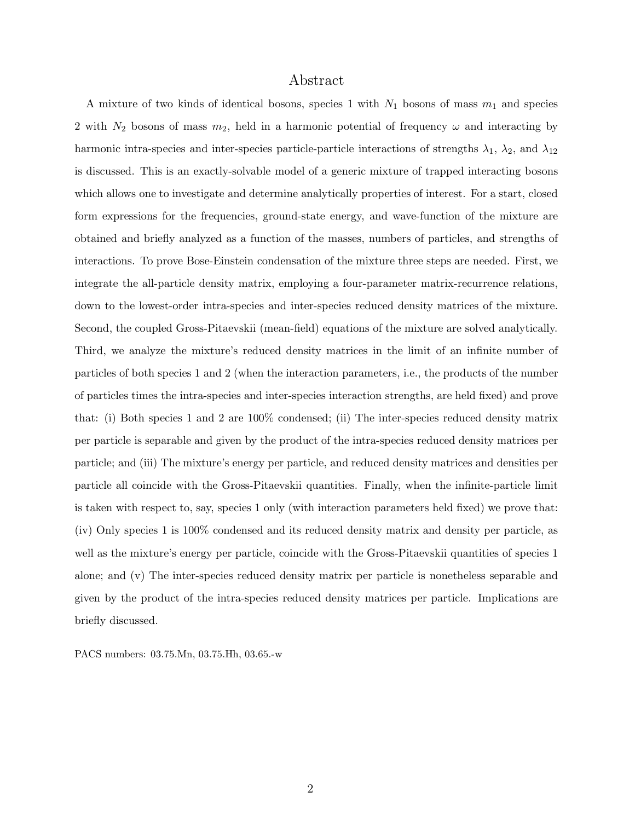# Abstract

A mixture of two kinds of identical bosons, species 1 with  $N_1$  bosons of mass  $m_1$  and species 2 with  $N_2$  bosons of mass  $m_2$ , held in a harmonic potential of frequency  $\omega$  and interacting by harmonic intra-species and inter-species particle-particle interactions of strengths  $\lambda_1$ ,  $\lambda_2$ , and  $\lambda_{12}$ is discussed. This is an exactly-solvable model of a generic mixture of trapped interacting bosons which allows one to investigate and determine analytically properties of interest. For a start, closed form expressions for the frequencies, ground-state energy, and wave-function of the mixture are obtained and briefly analyzed as a function of the masses, numbers of particles, and strengths of interactions. To prove Bose-Einstein condensation of the mixture three steps are needed. First, we integrate the all-particle density matrix, employing a four-parameter matrix-recurrence relations, down to the lowest-order intra-species and inter-species reduced density matrices of the mixture. Second, the coupled Gross-Pitaevskii (mean-field) equations of the mixture are solved analytically. Third, we analyze the mixture's reduced density matrices in the limit of an infinite number of particles of both species 1 and 2 (when the interaction parameters, i.e., the products of the number of particles times the intra-species and inter-species interaction strengths, are held fixed) and prove that: (i) Both species 1 and 2 are 100% condensed; (ii) The inter-species reduced density matrix per particle is separable and given by the product of the intra-species reduced density matrices per particle; and (iii) The mixture's energy per particle, and reduced density matrices and densities per particle all coincide with the Gross-Pitaevskii quantities. Finally, when the infinite-particle limit is taken with respect to, say, species 1 only (with interaction parameters held fixed) we prove that: (iv) Only species 1 is 100% condensed and its reduced density matrix and density per particle, as well as the mixture's energy per particle, coincide with the Gross-Pitaevskii quantities of species 1 alone; and (v) The inter-species reduced density matrix per particle is nonetheless separable and given by the product of the intra-species reduced density matrices per particle. Implications are briefly discussed.

PACS numbers: 03.75.Mn, 03.75.Hh, 03.65.-w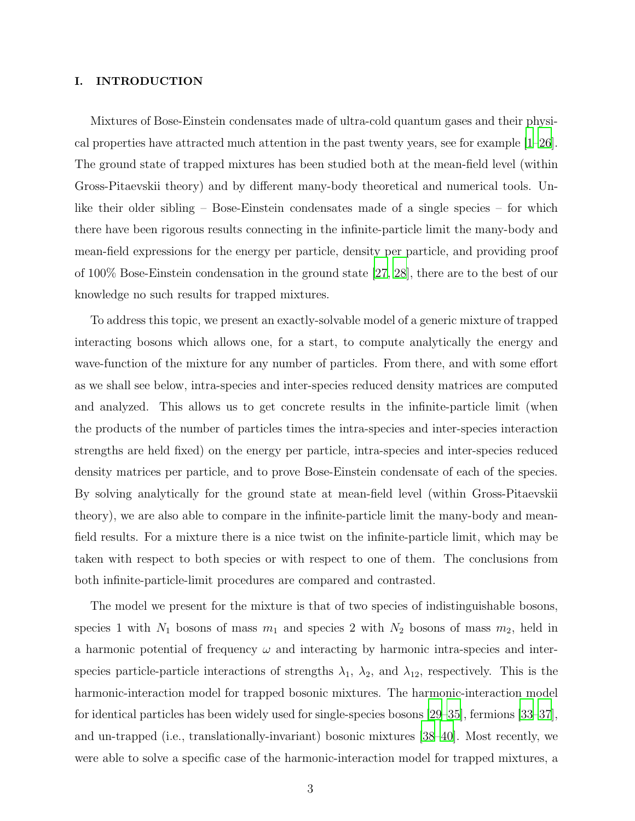### I. INTRODUCTION

Mixtures of Bose-Einstein condensates made of ultra-cold quantum gases and their physical properties have attracted much attention in the past twenty years, see for example [\[1](#page-26-0)[–26\]](#page-28-0). The ground state of trapped mixtures has been studied both at the mean-field level (within Gross-Pitaevskii theory) and by different many-body theoretical and numerical tools. Unlike their older sibling – Bose-Einstein condensates made of a single species – for which there have been rigorous results connecting in the infinite-particle limit the many-body and mean-field expressions for the energy per particle, density per particle, and providing proof of 100% Bose-Einstein condensation in the ground state [\[27,](#page-28-1) [28](#page-28-2)], there are to the best of our knowledge no such results for trapped mixtures.

To address this topic, we present an exactly-solvable model of a generic mixture of trapped interacting bosons which allows one, for a start, to compute analytically the energy and wave-function of the mixture for any number of particles. From there, and with some effort as we shall see below, intra-species and inter-species reduced density matrices are computed and analyzed. This allows us to get concrete results in the infinite-particle limit (when the products of the number of particles times the intra-species and inter-species interaction strengths are held fixed) on the energy per particle, intra-species and inter-species reduced density matrices per particle, and to prove Bose-Einstein condensate of each of the species. By solving analytically for the ground state at mean-field level (within Gross-Pitaevskii theory), we are also able to compare in the infinite-particle limit the many-body and meanfield results. For a mixture there is a nice twist on the infinite-particle limit, which may be taken with respect to both species or with respect to one of them. The conclusions from both infinite-particle-limit procedures are compared and contrasted.

The model we present for the mixture is that of two species of indistinguishable bosons, species 1 with  $N_1$  bosons of mass  $m_1$  and species 2 with  $N_2$  bosons of mass  $m_2$ , held in a harmonic potential of frequency  $\omega$  and interacting by harmonic intra-species and interspecies particle-particle interactions of strengths  $\lambda_1$ ,  $\lambda_2$ , and  $\lambda_{12}$ , respectively. This is the harmonic-interaction model for trapped bosonic mixtures. The harmonic-interaction model for identical particles has been widely used for single-species bosons [\[29](#page-28-3)[–35\]](#page-29-0), fermions [\[33](#page-28-4)[–37\]](#page-29-1), and un-trapped (i.e., translationally-invariant) bosonic mixtures [\[38](#page-29-2)[–40\]](#page-29-3). Most recently, we were able to solve a specific case of the harmonic-interaction model for trapped mixtures, a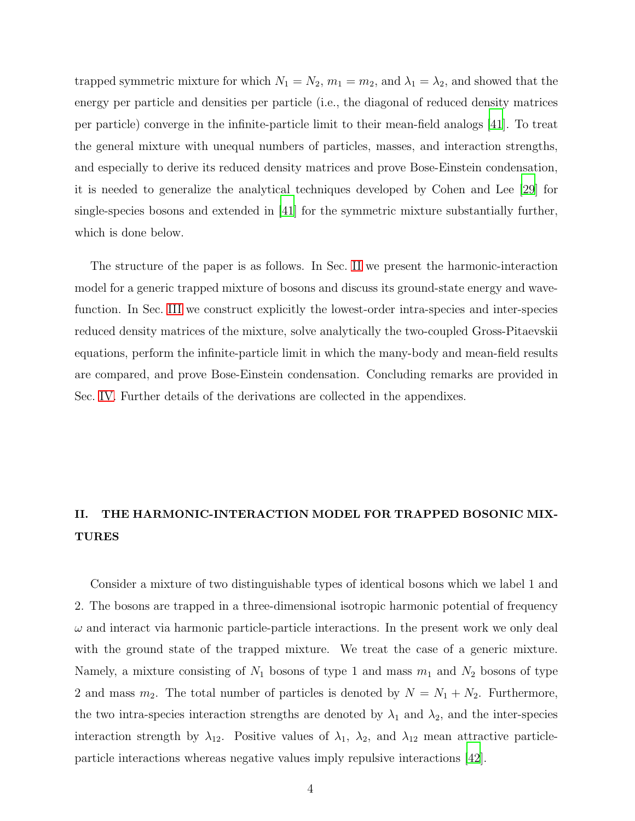trapped symmetric mixture for which  $N_1 = N_2$ ,  $m_1 = m_2$ , and  $\lambda_1 = \lambda_2$ , and showed that the energy per particle and densities per particle (i.e., the diagonal of reduced density matrices per particle) converge in the infinite-particle limit to their mean-field analogs [\[41\]](#page-29-4). To treat the general mixture with unequal numbers of particles, masses, and interaction strengths, and especially to derive its reduced density matrices and prove Bose-Einstein condensation, it is needed to generalize the analytical techniques developed by Cohen and Lee [\[29\]](#page-28-3) for single-species bosons and extended in [\[41\]](#page-29-4) for the symmetric mixture substantially further, which is done below.

The structure of the paper is as follows. In Sec. [II](#page-3-0) we present the harmonic-interaction model for a generic trapped mixture of bosons and discuss its ground-state energy and wavefunction. In Sec. [III](#page-7-0) we construct explicitly the lowest-order intra-species and inter-species reduced density matrices of the mixture, solve analytically the two-coupled Gross-Pitaevskii equations, perform the infinite-particle limit in which the many-body and mean-field results are compared, and prove Bose-Einstein condensation. Concluding remarks are provided in Sec. [IV.](#page-20-0) Further details of the derivations are collected in the appendixes.

# <span id="page-3-0"></span>II. THE HARMONIC-INTERACTION MODEL FOR TRAPPED BOSONIC MIX-TURES

Consider a mixture of two distinguishable types of identical bosons which we label 1 and 2. The bosons are trapped in a three-dimensional isotropic harmonic potential of frequency  $\omega$  and interact via harmonic particle-particle interactions. In the present work we only deal with the ground state of the trapped mixture. We treat the case of a generic mixture. Namely, a mixture consisting of  $N_1$  bosons of type 1 and mass  $m_1$  and  $N_2$  bosons of type 2 and mass  $m_2$ . The total number of particles is denoted by  $N = N_1 + N_2$ . Furthermore, the two intra-species interaction strengths are denoted by  $\lambda_1$  and  $\lambda_2$ , and the inter-species interaction strength by  $\lambda_{12}$ . Positive values of  $\lambda_1$ ,  $\lambda_2$ , and  $\lambda_{12}$  mean attractive particleparticle interactions whereas negative values imply repulsive interactions [\[42](#page-29-5)].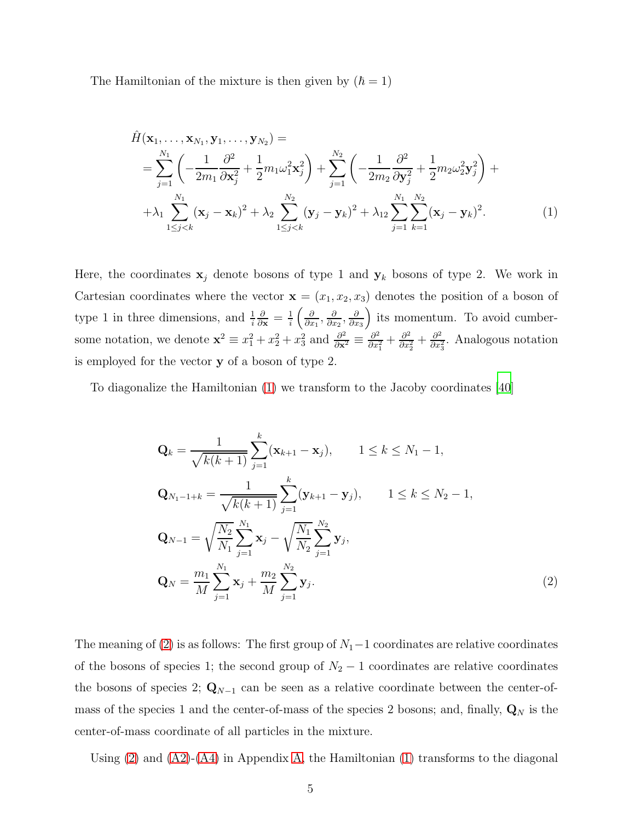The Hamiltonian of the mixture is then given by  $(\hbar = 1)$ 

<span id="page-4-0"></span>
$$
\hat{H}(\mathbf{x}_{1},...,\mathbf{x}_{N_{1}},\mathbf{y}_{1},...,\mathbf{y}_{N_{2}}) = \n= \sum_{j=1}^{N_{1}} \left( -\frac{1}{2m_{1}} \frac{\partial^{2}}{\partial \mathbf{x}_{j}^{2}} + \frac{1}{2} m_{1} \omega_{1}^{2} \mathbf{x}_{j}^{2} \right) + \sum_{j=1}^{N_{2}} \left( -\frac{1}{2m_{2}} \frac{\partial^{2}}{\partial \mathbf{y}_{j}^{2}} + \frac{1}{2} m_{2} \omega_{2}^{2} \mathbf{y}_{j}^{2} \right) + \n+ \lambda_{1} \sum_{1 \leq j < k}^{N_{1}} (\mathbf{x}_{j} - \mathbf{x}_{k})^{2} + \lambda_{2} \sum_{1 \leq j < k}^{N_{2}} (\mathbf{y}_{j} - \mathbf{y}_{k})^{2} + \lambda_{12} \sum_{j=1}^{N_{1}} \sum_{k=1}^{N_{2}} (\mathbf{x}_{j} - \mathbf{y}_{k})^{2}.
$$
\n(1)

Here, the coordinates  $x_j$  denote bosons of type 1 and  $y_k$  bosons of type 2. We work in Cartesian coordinates where the vector  $\mathbf{x} = (x_1, x_2, x_3)$  denotes the position of a boson of type 1 in three dimensions, and  $\frac{1}{i}$  $\frac{\partial}{\partial \mathbf{x}} = \frac{1}{i}$  $rac{1}{i}$   $\left(\frac{\partial}{\partial x}\right)$  $\frac{\partial}{\partial x_1}, \frac{\partial}{\partial x}$  $\frac{\partial}{\partial x_2}, \frac{\partial}{\partial x}$  $\partial x_3$  its momentum. To avoid cumbersome notation, we denote  $\mathbf{x}^2 \equiv x_1^2 + x_2^2 + x_3^2$  and  $\frac{\partial^2}{\partial \mathbf{x}^2} \equiv \frac{\partial^2}{\partial x^2}$  $\frac{\partial^2}{\partial x_1^2} + \frac{\partial^2}{\partial x_2^2}$  $\frac{\partial^2}{\partial x_2^2} + \frac{\partial^2}{\partial x_3^2}$  $\frac{\partial^2}{\partial x_3^2}$ . Analogous notation is employed for the vector y of a boson of type 2.

To diagonalize the Hamiltonian [\(1\)](#page-4-0) we transform to the Jacoby coordinates [\[40\]](#page-29-3)

<span id="page-4-1"></span>
$$
\mathbf{Q}_{k} = \frac{1}{\sqrt{k(k+1)}} \sum_{j=1}^{k} (\mathbf{x}_{k+1} - \mathbf{x}_{j}), \qquad 1 \leq k \leq N_{1} - 1,
$$
\n
$$
\mathbf{Q}_{N_{1}-1+k} = \frac{1}{\sqrt{k(k+1)}} \sum_{j=1}^{k} (\mathbf{y}_{k+1} - \mathbf{y}_{j}), \qquad 1 \leq k \leq N_{2} - 1,
$$
\n
$$
\mathbf{Q}_{N-1} = \sqrt{\frac{N_{2}}{N_{1}}} \sum_{j=1}^{N_{1}} \mathbf{x}_{j} - \sqrt{\frac{N_{1}}{N_{2}}} \sum_{j=1}^{N_{2}} \mathbf{y}_{j},
$$
\n
$$
\mathbf{Q}_{N} = \frac{m_{1}}{M} \sum_{j=1}^{N_{1}} \mathbf{x}_{j} + \frac{m_{2}}{M} \sum_{j=1}^{N_{2}} \mathbf{y}_{j}.
$$
\n(2)

The meaning of [\(2\)](#page-4-1) is as follows: The first group of  $N_1-1$  coordinates are relative coordinates of the bosons of species 1; the second group of  $N_2 - 1$  coordinates are relative coordinates the bosons of species 2;  $\mathbf{Q}_{N-1}$  can be seen as a relative coordinate between the center-ofmass of the species 1 and the center-of-mass of the species 2 bosons; and, finally,  $\mathbf{Q}_N$  is the center-of-mass coordinate of all particles in the mixture.

Using  $(2)$  and  $(A2)-(A4)$  $(A2)-(A4)$  in Appendix [A,](#page-21-0) the Hamiltonian  $(1)$  transforms to the diagonal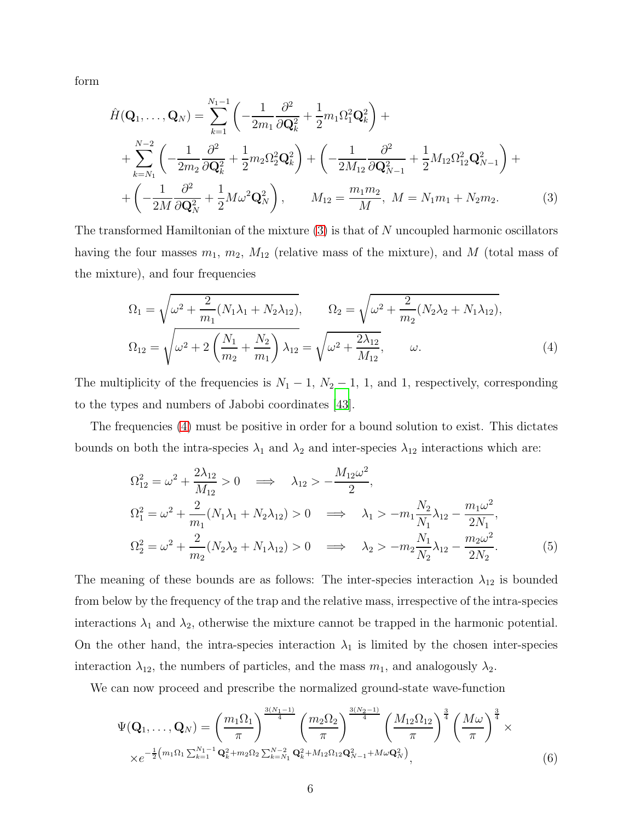form

<span id="page-5-0"></span>
$$
\hat{H}(\mathbf{Q}_{1},...,\mathbf{Q}_{N}) = \sum_{k=1}^{N_{1}-1} \left( -\frac{1}{2m_{1}} \frac{\partial^{2}}{\partial \mathbf{Q}_{k}^{2}} + \frac{1}{2} m_{1} \Omega_{1}^{2} \mathbf{Q}_{k}^{2} \right) + \n+ \sum_{k=N_{1}}^{N-2} \left( -\frac{1}{2m_{2}} \frac{\partial^{2}}{\partial \mathbf{Q}_{k}^{2}} + \frac{1}{2} m_{2} \Omega_{2}^{2} \mathbf{Q}_{k}^{2} \right) + \left( -\frac{1}{2M_{12}} \frac{\partial^{2}}{\partial \mathbf{Q}_{N-1}^{2}} + \frac{1}{2} M_{12} \Omega_{12}^{2} \mathbf{Q}_{N-1}^{2} \right) + \n+ \left( -\frac{1}{2M} \frac{\partial^{2}}{\partial \mathbf{Q}_{N}^{2}} + \frac{1}{2} M \omega^{2} \mathbf{Q}_{N}^{2} \right), \qquad M_{12} = \frac{m_{1} m_{2}}{M}, \ M = N_{1} m_{1} + N_{2} m_{2}.
$$
\n(3)

The transformed Hamiltonian of the mixture  $(3)$  is that of N uncoupled harmonic oscillators having the four masses  $m_1$ ,  $m_2$ ,  $M_{12}$  (relative mass of the mixture), and M (total mass of the mixture), and four frequencies

<span id="page-5-1"></span>
$$
\Omega_1 = \sqrt{\omega^2 + \frac{2}{m_1}(N_1\lambda_1 + N_2\lambda_{12})}, \qquad \Omega_2 = \sqrt{\omega^2 + \frac{2}{m_2}(N_2\lambda_2 + N_1\lambda_{12})},
$$
  
\n
$$
\Omega_{12} = \sqrt{\omega^2 + 2\left(\frac{N_1}{m_2} + \frac{N_2}{m_1}\right)\lambda_{12}} = \sqrt{\omega^2 + \frac{2\lambda_{12}}{M_{12}}}, \qquad \omega.
$$
\n(4)

The multiplicity of the frequencies is  $N_1 - 1$ ,  $N_2 - 1$ , 1, and 1, respectively, corresponding to the types and numbers of Jabobi coordinates [\[43](#page-29-6)].

The frequencies [\(4\)](#page-5-1) must be positive in order for a bound solution to exist. This dictates bounds on both the intra-species  $\lambda_1$  and  $\lambda_2$  and inter-species  $\lambda_{12}$  interactions which are:

<span id="page-5-2"></span>
$$
\Omega_{12}^2 = \omega^2 + \frac{2\lambda_{12}}{M_{12}} > 0 \implies \lambda_{12} > -\frac{M_{12}\omega^2}{2},
$$
  
\n
$$
\Omega_1^2 = \omega^2 + \frac{2}{m_1}(N_1\lambda_1 + N_2\lambda_{12}) > 0 \implies \lambda_1 > -m_1\frac{N_2}{N_1}\lambda_{12} - \frac{m_1\omega^2}{2N_1},
$$
  
\n
$$
\Omega_2^2 = \omega^2 + \frac{2}{m_2}(N_2\lambda_2 + N_1\lambda_{12}) > 0 \implies \lambda_2 > -m_2\frac{N_1}{N_2}\lambda_{12} - \frac{m_2\omega^2}{2N_2}.
$$
 (5)

The meaning of these bounds are as follows: The inter-species interaction  $\lambda_{12}$  is bounded from below by the frequency of the trap and the relative mass, irrespective of the intra-species interactions  $\lambda_1$  and  $\lambda_2$ , otherwise the mixture cannot be trapped in the harmonic potential. On the other hand, the intra-species interaction  $\lambda_1$  is limited by the chosen inter-species interaction  $\lambda_{12}$ , the numbers of particles, and the mass  $m_1$ , and analogously  $\lambda_2$ .

We can now proceed and prescribe the normalized ground-state wave-function

<span id="page-5-3"></span>
$$
\Psi(\mathbf{Q}_{1},\ldots,\mathbf{Q}_{N}) = \left(\frac{m_{1}\Omega_{1}}{\pi}\right)^{\frac{3(N_{1}-1)}{4}} \left(\frac{m_{2}\Omega_{2}}{\pi}\right)^{\frac{3(N_{2}-1)}{4}} \left(\frac{M_{12}\Omega_{12}}{\pi}\right)^{\frac{3}{4}} \left(\frac{M\omega}{\pi}\right)^{\frac{3}{4}} \times
$$
  
 
$$
\times e^{-\frac{1}{2}\left(m_{1}\Omega_{1}\sum_{k=1}^{N_{1}-1}\mathbf{Q}_{k}^{2}+m_{2}\Omega_{2}\sum_{k=N_{1}}^{N-2}\mathbf{Q}_{k}^{2}+M_{12}\Omega_{12}\mathbf{Q}_{N-1}^{2}+M\omega\mathbf{Q}_{N}^{2}\right)},
$$
(6)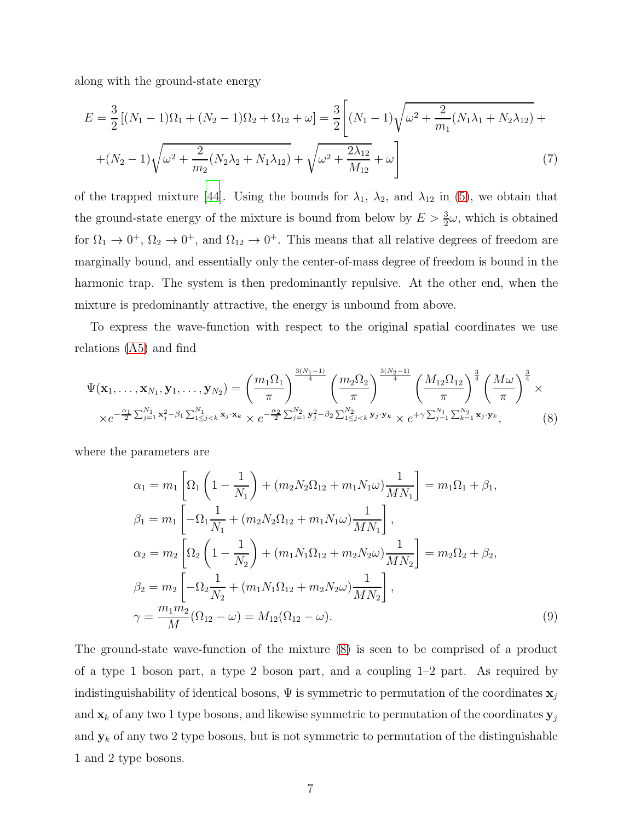along with the ground-state energy

<span id="page-6-2"></span>
$$
E = \frac{3}{2} [(N_1 - 1)\Omega_1 + (N_2 - 1)\Omega_2 + \Omega_{12} + \omega] = \frac{3}{2} \left[ (N_1 - 1)\sqrt{\omega^2 + \frac{2}{m_1}(N_1\lambda_1 + N_2\lambda_{12})} + (N_2 - 1)\sqrt{\omega^2 + \frac{2}{m_2}(N_2\lambda_2 + N_1\lambda_{12})} + \sqrt{\omega^2 + \frac{2\lambda_{12}}{M_{12}}} + \omega \right]
$$
(7)

of the trapped mixture [\[44\]](#page-30-0). Using the bounds for  $\lambda_1$ ,  $\lambda_2$ , and  $\lambda_{12}$  in [\(5\)](#page-5-2), we obtain that the ground-state energy of the mixture is bound from below by  $E > \frac{3}{2}\omega$ , which is obtained for  $\Omega_1 \to 0^+$ ,  $\Omega_2 \to 0^+$ , and  $\Omega_{12} \to 0^+$ . This means that all relative degrees of freedom are marginally bound, and essentially only the center-of-mass degree of freedom is bound in the harmonic trap. The system is then predominantly repulsive. At the other end, when the mixture is predominantly attractive, the energy is unbound from above.

To express the wave-function with respect to the original spatial coordinates we use relations [\(A5\)](#page-23-0) and find

<span id="page-6-0"></span>
$$
\Psi(\mathbf{x}_{1},\ldots,\mathbf{x}_{N_{1}},\mathbf{y}_{1},\ldots,\mathbf{y}_{N_{2}}) = \left(\frac{m_{1}\Omega_{1}}{\pi}\right)^{\frac{3(N_{1}-1)}{4}} \left(\frac{m_{2}\Omega_{2}}{\pi}\right)^{\frac{3(N_{2}-1)}{4}} \left(\frac{M_{12}\Omega_{12}}{\pi}\right)^{\frac{3}{4}} \left(\frac{M\omega}{\pi}\right)^{\frac{3}{4}} \times
$$

$$
\times e^{-\frac{\alpha_{1}}{2}\sum_{j=1}^{N_{1}}\mathbf{x}_{j}^{2}-\beta_{1}\sum_{1\leq j\leq k}^{N_{1}}\mathbf{x}_{j}\cdot\mathbf{x}_{k}} \times e^{-\frac{\alpha_{2}}{2}\sum_{j=1}^{N_{2}}\mathbf{y}_{j}^{2}-\beta_{2}\sum_{1\leq j\leq k}^{N_{2}}\mathbf{y}_{j}\cdot\mathbf{y}_{k}} \times e^{+\gamma\sum_{j=1}^{N_{1}}\sum_{k=1}^{N_{2}}\mathbf{x}_{j}\cdot\mathbf{y}_{k}},
$$
(8)

where the parameters are

<span id="page-6-1"></span>
$$
\alpha_1 = m_1 \left[ \Omega_1 \left( 1 - \frac{1}{N_1} \right) + (m_2 N_2 \Omega_{12} + m_1 N_1 \omega) \frac{1}{M N_1} \right] = m_1 \Omega_1 + \beta_1,
$$
  
\n
$$
\beta_1 = m_1 \left[ -\Omega_1 \frac{1}{N_1} + (m_2 N_2 \Omega_{12} + m_1 N_1 \omega) \frac{1}{M N_1} \right],
$$
  
\n
$$
\alpha_2 = m_2 \left[ \Omega_2 \left( 1 - \frac{1}{N_2} \right) + (m_1 N_1 \Omega_{12} + m_2 N_2 \omega) \frac{1}{M N_2} \right] = m_2 \Omega_2 + \beta_2,
$$
  
\n
$$
\beta_2 = m_2 \left[ -\Omega_2 \frac{1}{N_2} + (m_1 N_1 \Omega_{12} + m_2 N_2 \omega) \frac{1}{M N_2} \right],
$$
  
\n
$$
\gamma = \frac{m_1 m_2}{M} (\Omega_{12} - \omega) = M_{12} (\Omega_{12} - \omega).
$$
  
\n(9)

The ground-state wave-function of the mixture [\(8\)](#page-6-0) is seen to be comprised of a product of a type 1 boson part, a type 2 boson part, and a coupling 1–2 part. As required by indistinguishability of identical bosons,  $\Psi$  is symmetric to permutation of the coordinates  $\mathbf{x}_j$ and  $\mathbf{x}_k$  of any two 1 type bosons, and likewise symmetric to permutation of the coordinates  $\mathbf{y}_j$ and  $y_k$  of any two 2 type bosons, but is not symmetric to permutation of the distinguishable 1 and 2 type bosons.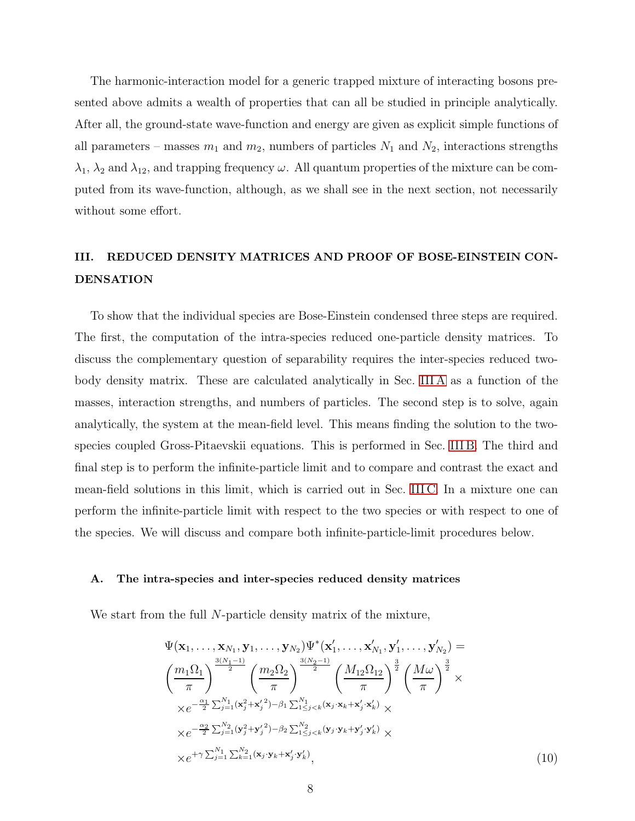The harmonic-interaction model for a generic trapped mixture of interacting bosons presented above admits a wealth of properties that can all be studied in principle analytically. After all, the ground-state wave-function and energy are given as explicit simple functions of all parameters – masses  $m_1$  and  $m_2$ , numbers of particles  $N_1$  and  $N_2$ , interactions strengths  $\lambda_1$ ,  $\lambda_2$  and  $\lambda_{12}$ , and trapping frequency  $\omega$ . All quantum properties of the mixture can be computed from its wave-function, although, as we shall see in the next section, not necessarily without some effort.

# <span id="page-7-0"></span>III. REDUCED DENSITY MATRICES AND PROOF OF BOSE-EINSTEIN CON-DENSATION

To show that the individual species are Bose-Einstein condensed three steps are required. The first, the computation of the intra-species reduced one-particle density matrices. To discuss the complementary question of separability requires the inter-species reduced twobody density matrix. These are calculated analytically in Sec. [III A](#page-7-1) as a function of the masses, interaction strengths, and numbers of particles. The second step is to solve, again analytically, the system at the mean-field level. This means finding the solution to the twospecies coupled Gross-Pitaevskii equations. This is performed in Sec. [III B.](#page-13-0) The third and final step is to perform the infinite-particle limit and to compare and contrast the exact and mean-field solutions in this limit, which is carried out in Sec. [III C.](#page-16-0) In a mixture one can perform the infinite-particle limit with respect to the two species or with respect to one of the species. We will discuss and compare both infinite-particle-limit procedures below.

#### <span id="page-7-1"></span>A. The intra-species and inter-species reduced density matrices

We start from the full N-particle density matrix of the mixture,

<span id="page-7-2"></span>
$$
\Psi(\mathbf{x}_{1},\ldots,\mathbf{x}_{N_{1}},\mathbf{y}_{1},\ldots,\mathbf{y}_{N_{2}})\Psi^{*}(\mathbf{x}'_{1},\ldots,\mathbf{x}'_{N_{1}},\mathbf{y}'_{1},\ldots,\mathbf{y}'_{N_{2}}) = \n\left(\frac{m_{1}\Omega_{1}}{\pi}\right)^{\frac{3(N_{1}-1)}{2}} \left(\frac{m_{2}\Omega_{2}}{\pi}\right)^{\frac{3(N_{2}-1)}{2}} \left(\frac{M_{12}\Omega_{12}}{\pi}\right)^{\frac{3}{2}} \left(\frac{M\omega}{\pi}\right)^{\frac{3}{2}} \times \n\times e^{-\frac{\alpha_{1}}{2}\sum_{j=1}^{N_{1}}(\mathbf{x}'_{j}+\mathbf{x}'_{j})-\beta_{1}\sum_{1\leq j< k}^{N_{1}}(\mathbf{x}_{j}\cdot\mathbf{x}_{k}+\mathbf{x}'_{j}\cdot\mathbf{x}'_{k})} \times \n\times e^{-\frac{\alpha_{2}}{2}\sum_{j=1}^{N_{2}}(\mathbf{y}'_{j}+\mathbf{y}'_{j})-\beta_{2}\sum_{1\leq j< k}^{N_{2}}(\mathbf{y}_{j}\cdot\mathbf{y}_{k}+\mathbf{y}'_{j}\cdot\mathbf{y}'_{k})} \times \n\times e^{+\gamma\sum_{j=1}^{N_{1}}\sum_{k=1}^{N_{2}}(\mathbf{x}_{j}\cdot\mathbf{y}_{k}+\mathbf{x}'_{j}\cdot\mathbf{y}'_{k})},
$$
\n(10)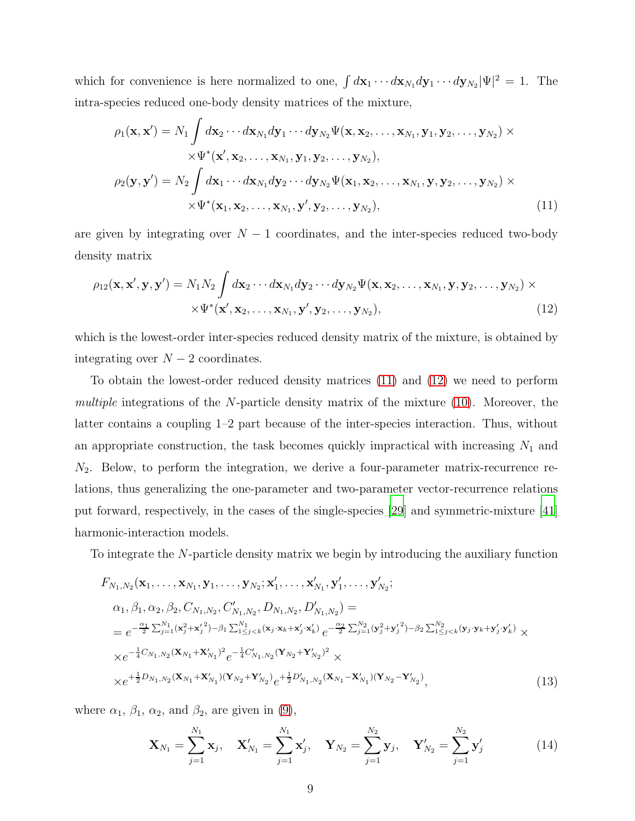which for convenience is here normalized to one,  $\int d\mathbf{x}_1 \cdots d\mathbf{x}_{N_1} d\mathbf{y}_1 \cdots d\mathbf{y}_{N_2} |\Psi|^2 = 1$ . The intra-species reduced one-body density matrices of the mixture,

<span id="page-8-0"></span>
$$
\rho_1(\mathbf{x}, \mathbf{x}') = N_1 \int d\mathbf{x}_2 \cdots d\mathbf{x}_{N_1} d\mathbf{y}_1 \cdots d\mathbf{y}_{N_2} \Psi(\mathbf{x}, \mathbf{x}_2, \dots, \mathbf{x}_{N_1}, \mathbf{y}_1, \mathbf{y}_2, \dots, \mathbf{y}_{N_2}) \times
$$
  
 
$$
\times \Psi^*(\mathbf{x}', \mathbf{x}_2, \dots, \mathbf{x}_{N_1}, \mathbf{y}_1, \mathbf{y}_2, \dots, \mathbf{y}_{N_2}),
$$
  
\n
$$
\rho_2(\mathbf{y}, \mathbf{y}') = N_2 \int d\mathbf{x}_1 \cdots d\mathbf{x}_{N_1} d\mathbf{y}_2 \cdots d\mathbf{y}_{N_2} \Psi(\mathbf{x}_1, \mathbf{x}_2, \dots, \mathbf{x}_{N_1}, \mathbf{y}, \mathbf{y}_2, \dots, \mathbf{y}_{N_2}) \times
$$
  
\n
$$
\times \Psi^*(\mathbf{x}_1, \mathbf{x}_2, \dots, \mathbf{x}_{N_1}, \mathbf{y}', \mathbf{y}_2, \dots, \mathbf{y}_{N_2}),
$$
\n(11)

are given by integrating over  $N-1$  coordinates, and the inter-species reduced two-body density matrix

<span id="page-8-1"></span>
$$
\rho_{12}(\mathbf{x}, \mathbf{x}', \mathbf{y}, \mathbf{y}') = N_1 N_2 \int d\mathbf{x}_2 \cdots d\mathbf{x}_{N_1} d\mathbf{y}_2 \cdots d\mathbf{y}_{N_2} \Psi(\mathbf{x}, \mathbf{x}_2, \dots, \mathbf{x}_{N_1}, \mathbf{y}, \mathbf{y}_2, \dots, \mathbf{y}_{N_2}) \times
$$
  
 
$$
\times \Psi^*(\mathbf{x}', \mathbf{x}_2, \dots, \mathbf{x}_{N_1}, \mathbf{y}', \mathbf{y}_2, \dots, \mathbf{y}_{N_2}),
$$
 (12)

which is the lowest-order inter-species reduced density matrix of the mixture, is obtained by integrating over  $N-2$  coordinates.

To obtain the lowest-order reduced density matrices [\(11\)](#page-8-0) and [\(12\)](#page-8-1) we need to perform multiple integrations of the  $N$ -particle density matrix of the mixture [\(10\)](#page-7-2). Moreover, the latter contains a coupling 1–2 part because of the inter-species interaction. Thus, without an appropriate construction, the task becomes quickly impractical with increasing  $N_1$  and  $N_2$ . Below, to perform the integration, we derive a four-parameter matrix-recurrence relations, thus generalizing the one-parameter and two-parameter vector-recurrence relations put forward, respectively, in the cases of the single-species [\[29](#page-28-3)] and symmetric-mixture [\[41\]](#page-29-4) harmonic-interaction models.

To integrate the N-particle density matrix we begin by introducing the auxiliary function

$$
F_{N_1,N_2}(\mathbf{x}_1,\ldots,\mathbf{x}_{N_1},\mathbf{y}_1,\ldots,\mathbf{y}_{N_2};\mathbf{x}'_1,\ldots,\mathbf{x}'_{N_1},\mathbf{y}'_1,\ldots,\mathbf{y}'_{N_2};
$$
  
\n
$$
\alpha_1,\beta_1,\alpha_2,\beta_2,C_{N_1,N_2},C'_{N_1,N_2},D_{N_1,N_2},D'_{N_1,N_2}) =
$$
  
\n
$$
= e^{-\frac{\alpha_1}{2}\sum_{j=1}^{N_1}(\mathbf{x}_j^2+\mathbf{x}'_j^2)-\beta_1\sum_{1\leq j < k}^{N_1}(\mathbf{x}_j\cdot\mathbf{x}_k+\mathbf{x}'_j\cdot\mathbf{x}'_k)}e^{-\frac{\alpha_2}{2}\sum_{j=1}^{N_2}(\mathbf{y}_j^2+\mathbf{y}'_j^2)-\beta_2\sum_{1\leq j < k}^{N_2}(\mathbf{y}_j\cdot\mathbf{y}_k+\mathbf{y}'_j\cdot\mathbf{y}'_k)} \times
$$
  
\n
$$
\times e^{-\frac{1}{4}C_{N_1,N_2}(\mathbf{X}_{N_1}+\mathbf{X}'_{N_1})^2}e^{-\frac{1}{4}C'_{N_1,N_2}(\mathbf{Y}_{N_2}+\mathbf{Y}'_{N_2})^2} \times
$$
  
\n
$$
\times e^{+\frac{1}{2}D_{N_1,N_2}(\mathbf{X}_{N_1}+\mathbf{X}'_{N_1})(\mathbf{Y}_{N_2}+\mathbf{Y}'_{N_2})}e^{+\frac{1}{2}D'_{N_1,N_2}(\mathbf{X}_{N_1}-\mathbf{X}'_{N_1})(\mathbf{Y}_{N_2}-\mathbf{Y}'_{N_2})},
$$
\n(13)

where  $\alpha_1$ ,  $\beta_1$ ,  $\alpha_2$ , and  $\beta_2$ , are given in [\(9\)](#page-6-1),

<span id="page-8-2"></span>
$$
\mathbf{X}_{N_1} = \sum_{j=1}^{N_1} \mathbf{x}_j, \quad \mathbf{X}'_{N_1} = \sum_{j=1}^{N_1} \mathbf{x}'_j, \quad \mathbf{Y}_{N_2} = \sum_{j=1}^{N_2} \mathbf{y}_j, \quad \mathbf{Y}'_{N_2} = \sum_{j=1}^{N_2} \mathbf{y}'_j
$$
(14)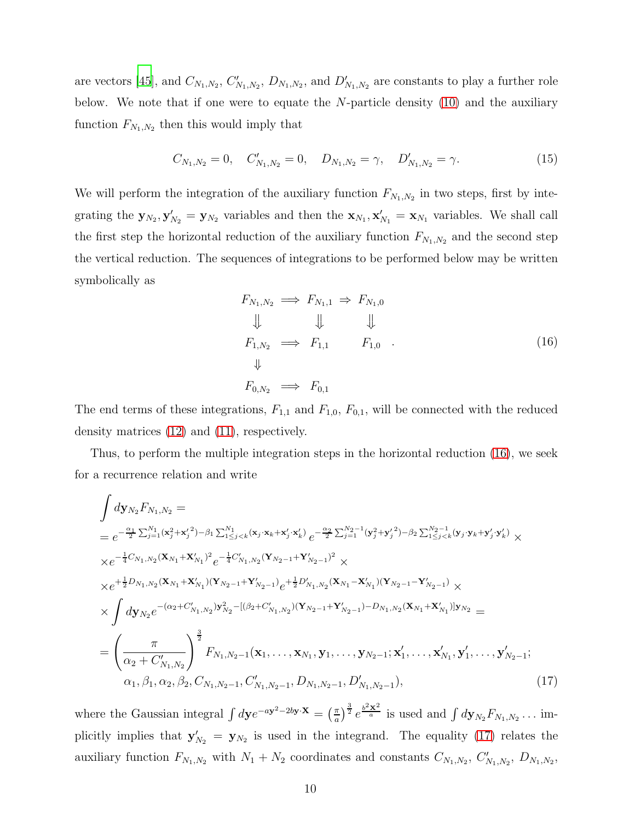are vectors [\[45\]](#page-30-1), and  $C_{N_1,N_2}$ ,  $C'_{N_1,N_2}$ ,  $D_{N_1,N_2}$ , and  $D'_{N_1,N_2}$  are constants to play a further role below. We note that if one were to equate the  $N$ -particle density  $(10)$  and the auxiliary function  $F_{N_1,N_2}$  then this would imply that

<span id="page-9-2"></span>
$$
C_{N_1,N_2} = 0, \quad C'_{N_1,N_2} = 0, \quad D_{N_1,N_2} = \gamma, \quad D'_{N_1,N_2} = \gamma. \tag{15}
$$

We will perform the integration of the auxiliary function  $F_{N_1,N_2}$  in two steps, first by integrating the  $\mathbf{y}_{N_2}, \mathbf{y}'_{N_2} = \mathbf{y}_{N_2}$  variables and then the  $\mathbf{x}_{N_1}, \mathbf{x}'_{N_1} = \mathbf{x}_{N_1}$  variables. We shall call the first step the horizontal reduction of the auxiliary function  $F_{N_1,N_2}$  and the second step the vertical reduction. The sequences of integrations to be performed below may be written symbolically as

<span id="page-9-0"></span>
$$
F_{N_1,N_2} \implies F_{N_1,1} \Rightarrow F_{N_1,0}
$$
  
\n
$$
\downarrow \qquad \qquad \downarrow \qquad \qquad \downarrow
$$
  
\n
$$
F_{1,N_2} \implies F_{1,1} \qquad F_{1,0} \qquad (16)
$$
  
\n
$$
\downarrow
$$
  
\n
$$
F_{0,N_2} \implies F_{0,1}
$$

The end terms of these integrations,  $F_{1,1}$  and  $F_{1,0}$ ,  $F_{0,1}$ , will be connected with the reduced density matrices [\(12\)](#page-8-1) and [\(11\)](#page-8-0), respectively.

Thus, to perform the multiple integration steps in the horizontal reduction [\(16\)](#page-9-0), we seek for a recurrence relation and write

<span id="page-9-1"></span>
$$
\int dy_{N_2} F_{N_1,N_2} =
$$
\n
$$
= e^{-\frac{\alpha_1}{2} \sum_{j=1}^{N_1} (\mathbf{x}_j^2 + \mathbf{x}_j'^2) - \beta_1 \sum_{1 \le j < k}^{N_1} (\mathbf{x}_j \cdot \mathbf{x}_k + \mathbf{x}_j' \cdot \mathbf{x}_k')} e^{-\frac{\alpha_2}{2} \sum_{j=1}^{N_2 - 1} (\mathbf{y}_j^2 + \mathbf{y}_j'^2) - \beta_2 \sum_{1 \le j < k}^{N_2 - 1} (\mathbf{y}_j \cdot \mathbf{y}_k + \mathbf{y}_j' \cdot \mathbf{y}_k')} \times
$$
\n
$$
\times e^{-\frac{1}{4} C_{N_1,N_2} (\mathbf{X}_{N_1} + \mathbf{X}_{N_1}')^2} e^{-\frac{1}{4} C_{N_1,N_2}' (\mathbf{Y}_{N_2 - 1} + \mathbf{Y}_{N_2 - 1}')^2} \times
$$
\n
$$
\times e^{+\frac{1}{2} D_{N_1,N_2} (\mathbf{X}_{N_1} + \mathbf{X}_{N_1}') (\mathbf{Y}_{N_2 - 1} + \mathbf{Y}_{N_2 - 1}')} e^{+\frac{1}{2} D_{N_1,N_2}' (\mathbf{X}_{N_1} - \mathbf{X}_{N_1}') (\mathbf{Y}_{N_2 - 1} - \mathbf{Y}_{N_2 - 1}')} \times
$$
\n
$$
\times \int dy_{N_2} e^{-(\alpha_2 + C_{N_1,N_2}') \mathbf{y}_{N_2}^2 - [(\beta_2 + C_{N_1,N_2}') (\mathbf{Y}_{N_2 - 1} + \mathbf{Y}_{N_2 - 1}') - D_{N_1,N_2} (\mathbf{X}_{N_1} + \mathbf{X}_{N_1}')] \mathbf{y}_{N_2}} =
$$
\n
$$
= \left(\frac{\pi}{\alpha_2 + C_{N_1,N_2}'}\right)^{\frac{3}{2}} F_{N_1,N_2-1} (\mathbf{x}_1, \dots, \mathbf{x}_{N_1}, \mathbf{y}_1, \dots, \mathbf{y}_{N_2 - 1}; \mathbf{x}_1', \dots, \mathbf{x}_{N_1}', \mathbf{y}_1', \dots, \mathbf{y}_{N_2 - 1}',
$$
\

where the Gaussian integral  $\int d{\bf y} e^{-a{\bf y}^2-2b{\bf y}\cdot{\bf X}} = \left(\frac{\pi}{a}\right)$  $\frac{\pi}{a}$ )<sup> $\frac{3}{2}$ </sup>  $e^{\frac{b^2\mathbf{x}^2}{a}}$  is used and  $\int d\mathbf{y}_{N_2}F_{N_1,N_2} \dots$  implicitly implies that  $y'_{N_2} = y_{N_2}$  is used in the integrand. The equality [\(17\)](#page-9-1) relates the auxiliary function  $F_{N_1,N_2}$  with  $N_1 + N_2$  coordinates and constants  $C_{N_1,N_2}$ ,  $C'_{N_1,N_2}$ ,  $D_{N_1,N_2}$ ,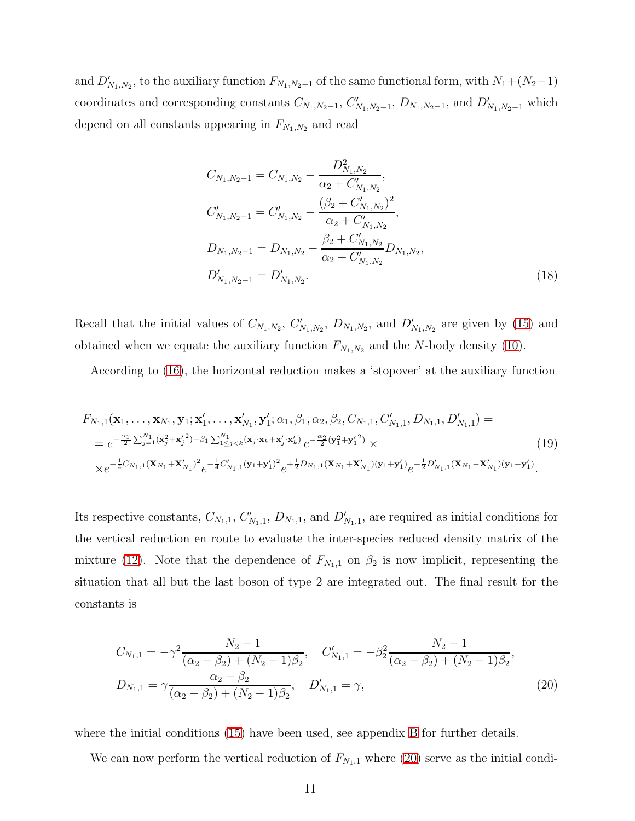and  $D'_{N_1,N_2}$ , to the auxiliary function  $F_{N_1,N_2-1}$  of the same functional form, with  $N_1+(N_2-1)$ coordinates and corresponding constants  $C_{N_1,N_2-1}$ ,  $C'_{N_1,N_2-1}$ ,  $D_{N_1,N_2-1}$ , and  $D'_{N_1,N_2-1}$  which depend on all constants appearing in  $F_{N_1,N_2}$  and read

<span id="page-10-1"></span>
$$
C_{N_1,N_2-1} = C_{N_1,N_2} - \frac{D_{N_1,N_2}^2}{\alpha_2 + C'_{N_1,N_2}},
$$
  
\n
$$
C'_{N_1,N_2-1} = C'_{N_1,N_2} - \frac{(\beta_2 + C'_{N_1,N_2})^2}{\alpha_2 + C'_{N_1,N_2}},
$$
  
\n
$$
D_{N_1,N_2-1} = D_{N_1,N_2} - \frac{\beta_2 + C'_{N_1,N_2}}{\alpha_2 + C'_{N_1,N_2}} D_{N_1,N_2},
$$
  
\n
$$
D'_{N_1,N_2-1} = D'_{N_1,N_2}.
$$
\n(18)

Recall that the initial values of  $C_{N_1,N_2}$ ,  $C'_{N_1,N_2}$ ,  $D_{N_1,N_2}$ , and  $D'_{N_1,N_2}$  are given by [\(15\)](#page-9-2) and obtained when we equate the auxiliary function  $F_{N_1,N_2}$  and the N-body density [\(10\)](#page-7-2).

According to [\(16\)](#page-9-0), the horizontal reduction makes a 'stopover' at the auxiliary function

$$
F_{N_1,1}(\mathbf{x}_1,\ldots,\mathbf{x}_{N_1},\mathbf{y}_1;\mathbf{x}'_1,\ldots,\mathbf{x}'_{N_1},\mathbf{y}'_1;\alpha_1,\beta_1,\alpha_2,\beta_2,C_{N_1,1},C'_{N_1,1},D_{N_1,1},D'_{N_1,1}) == e^{-\frac{\alpha_1}{2}\sum_{j=1}^{N_1}(\mathbf{x}'_j+\mathbf{x}'_j^2)-\beta_1\sum_{1\leq j < k}^{N_1}(\mathbf{x}_j\cdot\mathbf{x}_k+\mathbf{x}'_j\cdot\mathbf{x}'_k)}e^{-\frac{\alpha_2}{2}(\mathbf{y}_1^2+\mathbf{y}'_1^2)} \times \times e^{-\frac{1}{4}C_{N_1,1}(\mathbf{X}_{N_1}+\mathbf{X}'_{N_1})^2}e^{-\frac{1}{4}C'_{N_1,1}(\mathbf{y}_1+\mathbf{y}'_1)^2}e^{+\frac{1}{2}D_{N_1,1}(\mathbf{X}_{N_1}+\mathbf{X}'_{N_1})(\mathbf{y}_1+\mathbf{y}'_1)}e^{+\frac{1}{2}D'_{N_1,1}(\mathbf{X}_{N_1}-\mathbf{X}'_{N_1})(\mathbf{y}_1-\mathbf{y}'_1)}.
$$
\n(19)

Its respective constants,  $C_{N_1,1}, C'_{N_1,1}, D_{N_1,1}$ , and  $D'_{N_1,1}$ , are required as initial conditions for the vertical reduction en route to evaluate the inter-species reduced density matrix of the mixture [\(12\)](#page-8-1). Note that the dependence of  $F_{N_1,1}$  on  $\beta_2$  is now implicit, representing the situation that all but the last boson of type 2 are integrated out. The final result for the constants is

<span id="page-10-0"></span>
$$
C_{N_1,1} = -\gamma^2 \frac{N_2 - 1}{(\alpha_2 - \beta_2) + (N_2 - 1)\beta_2}, \quad C'_{N_1,1} = -\beta_2^2 \frac{N_2 - 1}{(\alpha_2 - \beta_2) + (N_2 - 1)\beta_2},
$$
  
\n
$$
D_{N_1,1} = \gamma \frac{\alpha_2 - \beta_2}{(\alpha_2 - \beta_2) + (N_2 - 1)\beta_2}, \quad D'_{N_1,1} = \gamma,
$$
\n(20)

where the initial conditions [\(15\)](#page-9-2) have been used, see appendix [B](#page-23-1) for further details.

We can now perform the vertical reduction of  $F_{N_1,1}$  where [\(20\)](#page-10-0) serve as the initial condi-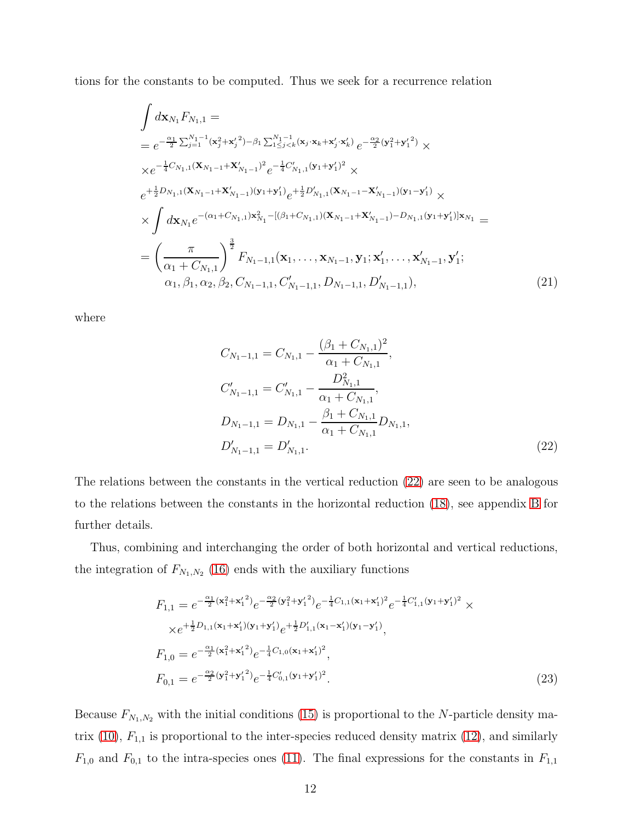tions for the constants to be computed. Thus we seek for a recurrence relation

<span id="page-11-1"></span>
$$
\int d\mathbf{x}_{N_1} F_{N_1,1} =
$$
\n
$$
= e^{-\frac{\alpha_1}{2} \sum_{j=1}^{N_1-1} (\mathbf{x}_j^2 + \mathbf{x}_j'^2) - \beta_1 \sum_{1 \le j < k}^{N_1-1} (\mathbf{x}_j \cdot \mathbf{x}_k + \mathbf{x}_j' \cdot \mathbf{x}_k') e^{-\frac{\alpha_2}{2} (\mathbf{y}_1^2 + \mathbf{y}_1'^2)} \times
$$
\n
$$
\times e^{-\frac{1}{4} C_{N_1,1} (\mathbf{X}_{N_1-1} + \mathbf{X}_{N_1-1}')^2} e^{-\frac{1}{4} C_{N_1,1}' (\mathbf{y}_1 + \mathbf{y}_1')^2} \times
$$
\n
$$
e^{+\frac{1}{2} D_{N_1,1} (\mathbf{X}_{N_1-1} + \mathbf{X}_{N_1-1}') (\mathbf{y}_1 + \mathbf{y}_1')} e^{+\frac{1}{2} D_{N_1,1}' (\mathbf{X}_{N_1-1} - \mathbf{X}_{N_1-1}') (\mathbf{y}_1 - \mathbf{y}_1')} \times
$$
\n
$$
\times \int d\mathbf{x}_{N_1} e^{-(\alpha_1 + C_{N_1,1}) \mathbf{x}_{N_1}^2 - [(\beta_1 + C_{N_1,1})(\mathbf{X}_{N_1-1} + \mathbf{X}_{N_1-1}') - D_{N_1,1} (\mathbf{y}_1 + \mathbf{y}_1')] \mathbf{x}_{N_1}} =
$$
\n
$$
= \left(\frac{\pi}{\alpha_1 + C_{N_1,1}}\right)^{\frac{3}{2}} F_{N_1-1,1}(\mathbf{x}_1, \dots, \mathbf{x}_{N_1-1}, \mathbf{y}_1; \mathbf{x}_1', \dots, \mathbf{x}_{N_1-1}', \mathbf{y}_1';
$$
\n
$$
\alpha_1, \beta_1, \alpha_2, \beta_2, C_{N_1-1,1}, C_{N_1-1,1}', D_{N_1-1,1}, D_{N_1-1,1}),
$$
\n(21)

where

<span id="page-11-0"></span>
$$
C_{N_1-1,1} = C_{N_1,1} - \frac{(\beta_1 + C_{N_1,1})^2}{\alpha_1 + C_{N_1,1}},
$$
  
\n
$$
C'_{N_1-1,1} = C'_{N_1,1} - \frac{D^2_{N_1,1}}{\alpha_1 + C_{N_1,1}},
$$
  
\n
$$
D_{N_1-1,1} = D_{N_1,1} - \frac{\beta_1 + C_{N_1,1}}{\alpha_1 + C_{N_1,1}} D_{N_1,1},
$$
  
\n
$$
D'_{N_1-1,1} = D'_{N_1,1}.
$$
\n(22)

The relations between the constants in the vertical reduction [\(22\)](#page-11-0) are seen to be analogous to the relations between the constants in the horizontal reduction [\(18\)](#page-10-1), see appendix [B](#page-23-1) for further details.

Thus, combining and interchanging the order of both horizontal and vertical reductions, the integration of  $F_{N_1,N_2}$  [\(16\)](#page-9-0) ends with the auxiliary functions

$$
F_{1,1} = e^{-\frac{\alpha_1}{2}(\mathbf{x}_1^2 + \mathbf{x}_1'^2)} e^{-\frac{\alpha_2}{2}(\mathbf{y}_1^2 + \mathbf{y}_1'^2)} e^{-\frac{1}{4}C_{1,1}(\mathbf{x}_1 + \mathbf{x}_1')^2} e^{-\frac{1}{4}C_{1,1}'(\mathbf{y}_1 + \mathbf{y}_1')^2} \times
$$
  
\n
$$
\times e^{+\frac{1}{2}D_{1,1}(\mathbf{x}_1 + \mathbf{x}_1')(y_1 + \mathbf{y}_1')} e^{+\frac{1}{2}D_{1,1}'(\mathbf{x}_1 - \mathbf{x}_1')(y_1 - \mathbf{y}_1')} ,
$$
  
\n
$$
F_{1,0} = e^{-\frac{\alpha_1}{2}(\mathbf{x}_1^2 + \mathbf{x}_1'^2)} e^{-\frac{1}{4}C_{1,0}(\mathbf{x}_1 + \mathbf{x}_1')^2} ,
$$
  
\n
$$
F_{0,1} = e^{-\frac{\alpha_2}{2}(\mathbf{y}_1^2 + \mathbf{y}_1'^2)} e^{-\frac{1}{4}C_{0,1}'(\mathbf{y}_1 + \mathbf{y}_1')^2} .
$$
\n(23)

Because  $F_{N_1,N_2}$  with the initial conditions [\(15\)](#page-9-2) is proportional to the N-particle density ma-trix [\(10\)](#page-7-2),  $F_{1,1}$  is proportional to the inter-species reduced density matrix [\(12\)](#page-8-1), and similarly  $F_{1,0}$  and  $F_{0,1}$  to the intra-species ones [\(11\)](#page-8-0). The final expressions for the constants in  $F_{1,1}$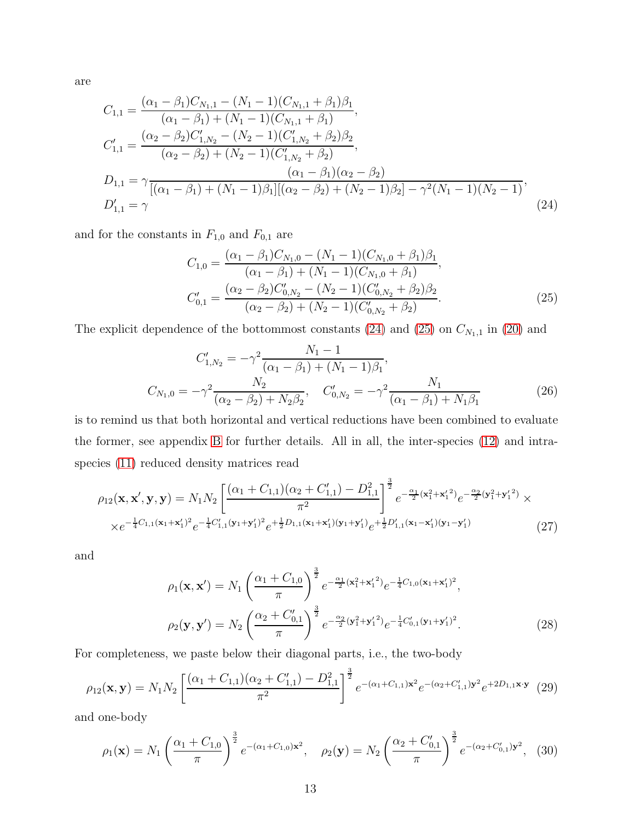are

<span id="page-12-0"></span>
$$
C_{1,1} = \frac{(\alpha_1 - \beta_1)C_{N_1,1} - (N_1 - 1)(C_{N_1,1} + \beta_1)\beta_1}{(\alpha_1 - \beta_1) + (N_1 - 1)(C_{N_1,1} + \beta_1)},
$$
  
\n
$$
C'_{1,1} = \frac{(\alpha_2 - \beta_2)C'_{1,N_2} - (N_2 - 1)(C'_{1,N_2} + \beta_2)\beta_2}{(\alpha_2 - \beta_2) + (N_2 - 1)(C'_{1,N_2} + \beta_2)},
$$
  
\n
$$
D_{1,1} = \gamma \frac{(\alpha_1 - \beta_1)(\alpha_2 - \beta_2)}{[(\alpha_1 - \beta_1) + (N_1 - 1)\beta_1][( \alpha_2 - \beta_2) + (N_2 - 1)\beta_2] - \gamma^2 (N_1 - 1)(N_2 - 1)},
$$
  
\n
$$
D'_{1,1} = \gamma
$$
\n(24)

and for the constants in  ${\cal F}_{1,0}$  and  ${\cal F}_{0,1}$  are

<span id="page-12-1"></span>
$$
C_{1,0} = \frac{(\alpha_1 - \beta_1)C_{N_1,0} - (N_1 - 1)(C_{N_1,0} + \beta_1)\beta_1}{(\alpha_1 - \beta_1) + (N_1 - 1)(C_{N_1,0} + \beta_1)},
$$
  
\n
$$
C'_{0,1} = \frac{(\alpha_2 - \beta_2)C'_{0,N_2} - (N_2 - 1)(C'_{0,N_2} + \beta_2)\beta_2}{(\alpha_2 - \beta_2) + (N_2 - 1)(C'_{0,N_2} + \beta_2)}.
$$
\n(25)

The explicit dependence of the bottommost constants [\(24\)](#page-12-0) and [\(25\)](#page-12-1) on  $C_{N_1,1}$  in [\(20\)](#page-10-0) and

<span id="page-12-4"></span>
$$
C'_{1,N_2} = -\gamma^2 \frac{N_1 - 1}{(\alpha_1 - \beta_1) + (N_1 - 1)\beta_1},
$$
  
\n
$$
C_{N_1,0} = -\gamma^2 \frac{N_2}{(\alpha_2 - \beta_2) + N_2\beta_2}, \quad C'_{0,N_2} = -\gamma^2 \frac{N_1}{(\alpha_1 - \beta_1) + N_1\beta_1}
$$
\n(26)

is to remind us that both horizontal and vertical reductions have been combined to evaluate the former, see appendix [B](#page-23-1) for further details. All in all, the inter-species [\(12\)](#page-8-1) and intraspecies [\(11\)](#page-8-0) reduced density matrices read

<span id="page-12-3"></span>
$$
\rho_{12}(\mathbf{x}, \mathbf{x}', \mathbf{y}, \mathbf{y}) = N_1 N_2 \left[ \frac{(\alpha_1 + C_{1,1})(\alpha_2 + C_{1,1}') - D_{1,1}^2}{\pi^2} \right]^{\frac{3}{2}} e^{-\frac{\alpha_1}{2} (\mathbf{x}_1^2 + \mathbf{x}_1'^2)} e^{-\frac{\alpha_2}{2} (\mathbf{y}_1^2 + \mathbf{y}_1'^2)} \times
$$
  
 
$$
\times e^{-\frac{1}{4} C_{1,1} (\mathbf{x}_1 + \mathbf{x}_1')^2} e^{-\frac{1}{4} C_{1,1}' (\mathbf{y}_1 + \mathbf{y}_1')^2} e^{+\frac{1}{2} D_{1,1} (\mathbf{x}_1 + \mathbf{x}_1')( \mathbf{y}_1 + \mathbf{y}_1')} e^{+\frac{1}{2} D_{1,1}' (\mathbf{x}_1 - \mathbf{x}_1')( \mathbf{y}_1 - \mathbf{y}_1')} \tag{27}
$$

and

<span id="page-12-2"></span>
$$
\rho_1(\mathbf{x}, \mathbf{x}') = N_1 \left( \frac{\alpha_1 + C_{1,0}}{\pi} \right)^{\frac{3}{2}} e^{-\frac{\alpha_1}{2} (\mathbf{x}_1^2 + \mathbf{x}_1'^2)} e^{-\frac{1}{4} C_{1,0} (\mathbf{x}_1 + \mathbf{x}_1')^2},
$$

$$
\rho_2(\mathbf{y}, \mathbf{y}') = N_2 \left( \frac{\alpha_2 + C_{0,1}'}{\pi} \right)^{\frac{3}{2}} e^{-\frac{\alpha_2}{2} (\mathbf{y}_1^2 + \mathbf{y}_1'^2)} e^{-\frac{1}{4} C_{0,1}' (\mathbf{y}_1 + \mathbf{y}_1')^2}.
$$
(28)

For completeness, we paste below their diagonal parts, i.e., the two-body

$$
\rho_{12}(\mathbf{x}, \mathbf{y}) = N_1 N_2 \left[ \frac{(\alpha_1 + C_{1,1})(\alpha_2 + C_{1,1}') - D_{1,1}^2}{\pi^2} \right]^{\frac{3}{2}} e^{-(\alpha_1 + C_{1,1})\mathbf{x}^2} e^{-(\alpha_2 + C_{1,1}')\mathbf{y}^2} e^{+2D_{1,1}\mathbf{x}\cdot\mathbf{y}} \tag{29}
$$

and one-body

<span id="page-12-5"></span>
$$
\rho_1(\mathbf{x}) = N_1 \left( \frac{\alpha_1 + C_{1,0}}{\pi} \right)^{\frac{3}{2}} e^{-(\alpha_1 + C_{1,0})\mathbf{x}^2}, \quad \rho_2(\mathbf{y}) = N_2 \left( \frac{\alpha_2 + C_{0,1}'}{\pi} \right)^{\frac{3}{2}} e^{-(\alpha_2 + C_{0,1}')\mathbf{y}^2}, \quad (30)
$$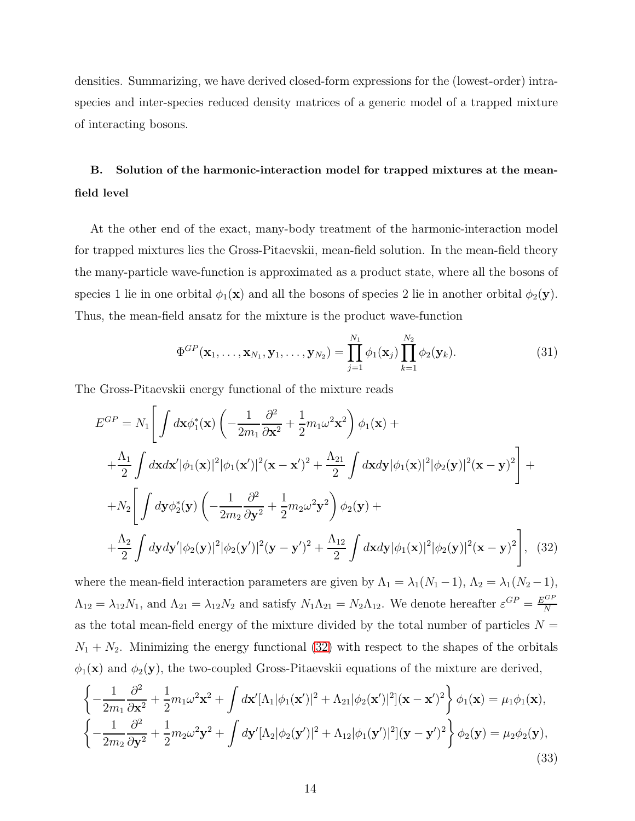densities. Summarizing, we have derived closed-form expressions for the (lowest-order) intraspecies and inter-species reduced density matrices of a generic model of a trapped mixture of interacting bosons.

# <span id="page-13-0"></span>B. Solution of the harmonic-interaction model for trapped mixtures at the meanfield level

At the other end of the exact, many-body treatment of the harmonic-interaction model for trapped mixtures lies the Gross-Pitaevskii, mean-field solution. In the mean-field theory the many-particle wave-function is approximated as a product state, where all the bosons of species 1 lie in one orbital  $\phi_1(\mathbf{x})$  and all the bosons of species 2 lie in another orbital  $\phi_2(\mathbf{y})$ . Thus, the mean-field ansatz for the mixture is the product wave-function

$$
\Phi^{GP}(\mathbf{x}_1,\ldots,\mathbf{x}_{N_1},\mathbf{y}_1,\ldots,\mathbf{y}_{N_2}) = \prod_{j=1}^{N_1} \phi_1(\mathbf{x}_j) \prod_{k=1}^{N_2} \phi_2(\mathbf{y}_k).
$$
(31)

The Gross-Pitaevskii energy functional of the mixture reads

<span id="page-13-1"></span>
$$
E^{GP} = N_1 \left[ \int d\mathbf{x} \phi_1^*(\mathbf{x}) \left( -\frac{1}{2m_1} \frac{\partial^2}{\partial \mathbf{x}^2} + \frac{1}{2} m_1 \omega^2 \mathbf{x}^2 \right) \phi_1(\mathbf{x}) + + \frac{\Lambda_1}{2} \int d\mathbf{x} d\mathbf{x}' |\phi_1(\mathbf{x})|^2 |\phi_1(\mathbf{x}')|^2 (\mathbf{x} - \mathbf{x}')^2 + \frac{\Lambda_{21}}{2} \int d\mathbf{x} d\mathbf{y} |\phi_1(\mathbf{x})|^2 |\phi_2(\mathbf{y})|^2 (\mathbf{x} - \mathbf{y})^2 \right] + + N_2 \left[ \int d\mathbf{y} \phi_2^*(\mathbf{y}) \left( -\frac{1}{2m_2} \frac{\partial^2}{\partial \mathbf{y}^2} + \frac{1}{2} m_2 \omega^2 \mathbf{y}^2 \right) \phi_2(\mathbf{y}) + + \frac{\Lambda_2}{2} \int d\mathbf{y} d\mathbf{y}' |\phi_2(\mathbf{y})|^2 |\phi_2(\mathbf{y}')|^2 (\mathbf{y} - \mathbf{y}')^2 + \frac{\Lambda_{12}}{2} \int d\mathbf{x} d\mathbf{y} |\phi_1(\mathbf{x})|^2 |\phi_2(\mathbf{y})|^2 (\mathbf{x} - \mathbf{y})^2 \right],
$$
 (32)

where the mean-field interaction parameters are given by  $\Lambda_1 = \lambda_1(N_1 - 1)$ ,  $\Lambda_2 = \lambda_1(N_2 - 1)$ ,  $\Lambda_{12} = \lambda_{12} N_1$ , and  $\Lambda_{21} = \lambda_{12} N_2$  and satisfy  $N_1 \Lambda_{21} = N_2 \Lambda_{12}$ . We denote hereafter  $\varepsilon^{GP} = \frac{E^{GP}}{N}$ N as the total mean-field energy of the mixture divided by the total number of particles  $N =$  $N_1 + N_2$ . Minimizing the energy functional [\(32\)](#page-13-1) with respect to the shapes of the orbitals  $\phi_1(\mathbf{x})$  and  $\phi_2(\mathbf{y})$ , the two-coupled Gross-Pitaevskii equations of the mixture are derived,

<span id="page-13-2"></span>
$$
\left\{-\frac{1}{2m_1}\frac{\partial^2}{\partial \mathbf{x}^2} + \frac{1}{2}m_1\omega^2\mathbf{x}^2 + \int d\mathbf{x}'[\Lambda_1|\phi_1(\mathbf{x}')|^2 + \Lambda_{21}|\phi_2(\mathbf{x}')|^2](\mathbf{x} - \mathbf{x}')^2\right\}\phi_1(\mathbf{x}) = \mu_1\phi_1(\mathbf{x}),
$$
  

$$
\left\{-\frac{1}{2m_2}\frac{\partial^2}{\partial \mathbf{y}^2} + \frac{1}{2}m_2\omega^2\mathbf{y}^2 + \int d\mathbf{y}'[\Lambda_2|\phi_2(\mathbf{y}')|^2 + \Lambda_{12}|\phi_1(\mathbf{y}')|^2](\mathbf{y} - \mathbf{y}')^2\right\}\phi_2(\mathbf{y}) = \mu_2\phi_2(\mathbf{y}),
$$
\n(33)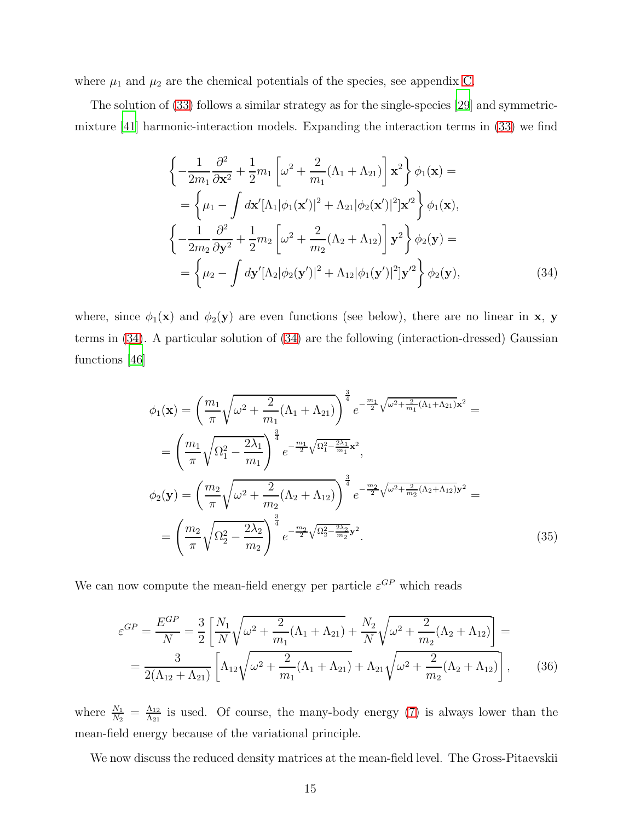where  $\mu_1$  and  $\mu_2$  are the chemical potentials of the species, see appendix [C.](#page-25-0)

The solution of [\(33\)](#page-13-2) follows a similar strategy as for the single-species [\[29](#page-28-3)] and symmetricmixture [\[41\]](#page-29-4) harmonic-interaction models. Expanding the interaction terms in [\(33\)](#page-13-2) we find

<span id="page-14-0"></span>
$$
\begin{split}\n&\left\{-\frac{1}{2m_{1}}\frac{\partial^{2}}{\partial \mathbf{x}^{2}}+\frac{1}{2}m_{1}\left[\omega^{2}+\frac{2}{m_{1}}(\Lambda_{1}+\Lambda_{21})\right]\mathbf{x}^{2}\right\}\phi_{1}(\mathbf{x})= \\
&=\left\{\mu_{1}-\int d\mathbf{x}'[\Lambda_{1}|\phi_{1}(\mathbf{x}')|^{2}+\Lambda_{21}|\phi_{2}(\mathbf{x}')|^{2}]\mathbf{x}'^{2}\right\}\phi_{1}(\mathbf{x}), \\
&\left\{-\frac{1}{2m_{2}}\frac{\partial^{2}}{\partial \mathbf{y}^{2}}+\frac{1}{2}m_{2}\left[\omega^{2}+\frac{2}{m_{2}}(\Lambda_{2}+\Lambda_{12})\right]\mathbf{y}^{2}\right\}\phi_{2}(\mathbf{y})= \\
&=\left\{\mu_{2}-\int d\mathbf{y}'[\Lambda_{2}|\phi_{2}(\mathbf{y}')|^{2}+\Lambda_{12}|\phi_{1}(\mathbf{y}')|^{2}]\mathbf{y}'^{2}\right\}\phi_{2}(\mathbf{y}),\n\end{split} \tag{34}
$$

where, since  $\phi_1(\mathbf{x})$  and  $\phi_2(\mathbf{y})$  are even functions (see below), there are no linear in **x**, **y** terms in [\(34\)](#page-14-0). A particular solution of [\(34\)](#page-14-0) are the following (interaction-dressed) Gaussian functions [\[46\]](#page-30-2)

<span id="page-14-1"></span>
$$
\phi_1(\mathbf{x}) = \left(\frac{m_1}{\pi}\sqrt{\omega^2 + \frac{2}{m_1}(\Lambda_1 + \Lambda_{21})}\right)^{\frac{3}{4}} e^{-\frac{m_1}{2}\sqrt{\omega^2 + \frac{2}{m_1}(\Lambda_1 + \Lambda_{21})}\mathbf{x}^2} =
$$
\n
$$
= \left(\frac{m_1}{\pi}\sqrt{\Omega_1^2 - \frac{2\lambda_1}{m_1}}\right)^{\frac{3}{4}} e^{-\frac{m_1}{2}\sqrt{\Omega_1^2 - \frac{2\lambda_1}{m_1}}\mathbf{x}^2},
$$
\n
$$
\phi_2(\mathbf{y}) = \left(\frac{m_2}{\pi}\sqrt{\omega^2 + \frac{2}{m_2}(\Lambda_2 + \Lambda_{12})}\right)^{\frac{3}{4}} e^{-\frac{m_2}{2}\sqrt{\omega^2 + \frac{2}{m_2}(\Lambda_2 + \Lambda_{12})}\mathbf{y}^2} =
$$
\n
$$
= \left(\frac{m_2}{\pi}\sqrt{\Omega_2^2 - \frac{2\lambda_2}{m_2}}\right)^{\frac{3}{4}} e^{-\frac{m_2}{2}\sqrt{\Omega_2^2 - \frac{2\lambda_2}{m_2}}\mathbf{y}^2}.
$$
\n(35)

We can now compute the mean-field energy per particle  $\varepsilon^{GP}$  which reads

$$
\varepsilon^{GP} = \frac{E^{GP}}{N} = \frac{3}{2} \left[ \frac{N_1}{N} \sqrt{\omega^2 + \frac{2}{m_1} (\Lambda_1 + \Lambda_{21})} + \frac{N_2}{N} \sqrt{\omega^2 + \frac{2}{m_2} (\Lambda_2 + \Lambda_{12})} \right] =
$$
  
= 
$$
\frac{3}{2(\Lambda_{12} + \Lambda_{21})} \left[ \Lambda_{12} \sqrt{\omega^2 + \frac{2}{m_1} (\Lambda_1 + \Lambda_{21})} + \Lambda_{21} \sqrt{\omega^2 + \frac{2}{m_2} (\Lambda_2 + \Lambda_{12})} \right],
$$
(36)

where  $\frac{N_1}{N_2} = \frac{\Lambda_{12}}{\Lambda_{21}}$  $\frac{\Lambda_{12}}{\Lambda_{21}}$  is used. Of course, the many-body energy [\(7\)](#page-6-2) is always lower than the mean-field energy because of the variational principle.

We now discuss the reduced density matrices at the mean-field level. The Gross-Pitaevskii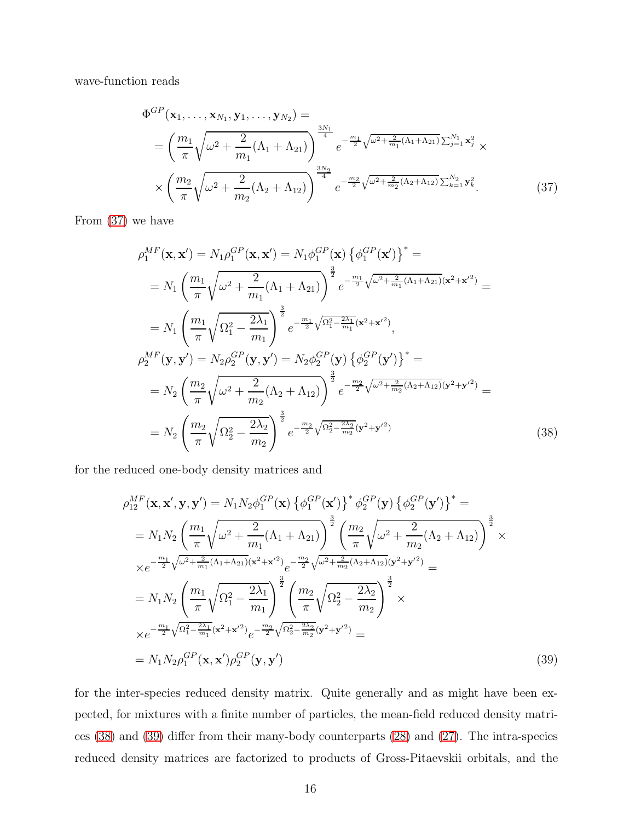wave-function reads

<span id="page-15-0"></span>
$$
\Phi^{GP}(\mathbf{x}_1, \dots, \mathbf{x}_{N_1}, \mathbf{y}_1, \dots, \mathbf{y}_{N_2}) =
$$
\n
$$
= \left(\frac{m_1}{\pi} \sqrt{\omega^2 + \frac{2}{m_1} (\Lambda_1 + \Lambda_{21})}\right)^{\frac{3N_1}{4}} e^{-\frac{m_1}{2} \sqrt{\omega^2 + \frac{2}{m_1} (\Lambda_1 + \Lambda_{21})} \sum_{j=1}^{N_1} \mathbf{x}_j^2} \times
$$
\n
$$
\times \left(\frac{m_2}{\pi} \sqrt{\omega^2 + \frac{2}{m_2} (\Lambda_2 + \Lambda_{12})}\right)^{\frac{3N_2}{4}} e^{-\frac{m_2}{2} \sqrt{\omega^2 + \frac{2}{m_2} (\Lambda_2 + \Lambda_{12})} \sum_{k=1}^{N_2} \mathbf{y}_k^2}.
$$
\n(37)

From [\(37\)](#page-15-0) we have

<span id="page-15-1"></span>
$$
\rho_1^{MF}(\mathbf{x}, \mathbf{x}') = N_1 \rho_1^{GP}(\mathbf{x}, \mathbf{x}') = N_1 \phi_1^{GP}(\mathbf{x}) \left\{ \phi_1^{GP}(\mathbf{x}') \right\}^* =
$$
\n
$$
= N_1 \left( \frac{m_1}{\pi} \sqrt{\omega^2 + \frac{2}{m_1} (\Lambda_1 + \Lambda_{21})} \right)^{\frac{3}{2}} e^{-\frac{m_1}{2} \sqrt{\omega^2 + \frac{2}{m_1} (\Lambda_1 + \Lambda_{21})} (\mathbf{x}^2 + \mathbf{x}'^2)} =
$$
\n
$$
= N_1 \left( \frac{m_1}{\pi} \sqrt{\Omega_1^2 - \frac{2\lambda_1}{m_1}} \right)^{\frac{3}{2}} e^{-\frac{m_1}{2} \sqrt{\Omega_1^2 - \frac{2\lambda_1}{m_1}} (\mathbf{x}^2 + \mathbf{x}'^2)},
$$
\n
$$
\rho_2^{MF}(\mathbf{y}, \mathbf{y}') = N_2 \rho_2^{GP}(\mathbf{y}, \mathbf{y}') = N_2 \phi_2^{GP}(\mathbf{y}) \left\{ \phi_2^{GP}(\mathbf{y}') \right\}^* =
$$
\n
$$
= N_2 \left( \frac{m_2}{\pi} \sqrt{\omega^2 + \frac{2}{m_2} (\Lambda_2 + \Lambda_{12})} \right)^{\frac{3}{2}} e^{-\frac{m_2}{2} \sqrt{\omega^2 + \frac{2}{m_2} (\Lambda_2 + \Lambda_{12})} (\mathbf{y}^2 + \mathbf{y}'^2)} =
$$
\n
$$
= N_2 \left( \frac{m_2}{\pi} \sqrt{\Omega_2^2 - \frac{2\lambda_2}{m_2}} \right)^{\frac{3}{2}} e^{-\frac{m_2}{2} \sqrt{\Omega_2^2 - \frac{2\lambda_2}{m_2}} (\mathbf{y}^2 + \mathbf{y}'^2)} \tag{38}
$$

for the reduced one-body density matrices and

<span id="page-15-2"></span>
$$
\rho_{12}^{MF}(\mathbf{x}, \mathbf{x}', \mathbf{y}, \mathbf{y}') = N_1 N_2 \phi_1^{GP}(\mathbf{x}) \left\{ \phi_1^{GP}(\mathbf{x}') \right\}^* \phi_2^{GP}(\mathbf{y}) \left\{ \phi_2^{GP}(\mathbf{y}') \right\}^* =
$$
\n
$$
= N_1 N_2 \left( \frac{m_1}{\pi} \sqrt{\omega^2 + \frac{2}{m_1} (\Lambda_1 + \Lambda_{21})} \right)^{\frac{3}{2}} \left( \frac{m_2}{\pi} \sqrt{\omega^2 + \frac{2}{m_2} (\Lambda_2 + \Lambda_{12})} \right)^{\frac{3}{2}} \times
$$
\n
$$
\times e^{-\frac{m_1}{2} \sqrt{\omega^2 + \frac{2}{m_1} (\Lambda_1 + \Lambda_{21}) (\mathbf{x}^2 + \mathbf{x}'^2)} e^{-\frac{m_2}{2} \sqrt{\omega^2 + \frac{2}{m_2} (\Lambda_2 + \Lambda_{12})} (\mathbf{y}^2 + \mathbf{y}'^2)} =
$$
\n
$$
= N_1 N_2 \left( \frac{m_1}{\pi} \sqrt{\Omega_1^2 - \frac{2\lambda_1}{m_1}} \right)^{\frac{3}{2}} \left( \frac{m_2}{\pi} \sqrt{\Omega_2^2 - \frac{2\lambda_2}{m_2}} \right)^{\frac{3}{2}} \times
$$
\n
$$
\times e^{-\frac{m_1}{2} \sqrt{\Omega_1^2 - \frac{2\lambda_1}{m_1} (\mathbf{x}^2 + \mathbf{x}'^2)} e^{-\frac{m_2}{2} \sqrt{\Omega_2^2 - \frac{2\lambda_2}{m_2} (\mathbf{y}^2 + \mathbf{y}'^2)}} =
$$
\n
$$
= N_1 N_2 \rho_1^{GP}(\mathbf{x}, \mathbf{x}') \rho_2^{GP}(\mathbf{y}, \mathbf{y}') \tag{39}
$$

for the inter-species reduced density matrix. Quite generally and as might have been expected, for mixtures with a finite number of particles, the mean-field reduced density matrices [\(38\)](#page-15-1) and [\(39\)](#page-15-2) differ from their many-body counterparts [\(28\)](#page-12-2) and [\(27\)](#page-12-3). The intra-species reduced density matrices are factorized to products of Gross-Pitaevskii orbitals, and the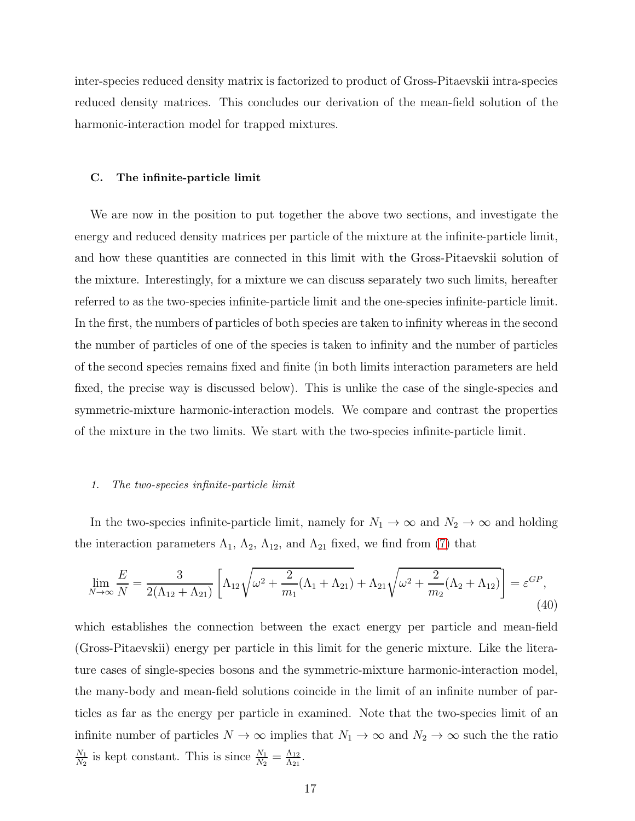inter-species reduced density matrix is factorized to product of Gross-Pitaevskii intra-species reduced density matrices. This concludes our derivation of the mean-field solution of the harmonic-interaction model for trapped mixtures.

#### <span id="page-16-0"></span>C. The infinite-particle limit

We are now in the position to put together the above two sections, and investigate the energy and reduced density matrices per particle of the mixture at the infinite-particle limit, and how these quantities are connected in this limit with the Gross-Pitaevskii solution of the mixture. Interestingly, for a mixture we can discuss separately two such limits, hereafter referred to as the two-species infinite-particle limit and the one-species infinite-particle limit. In the first, the numbers of particles of both species are taken to infinity whereas in the second the number of particles of one of the species is taken to infinity and the number of particles of the second species remains fixed and finite (in both limits interaction parameters are held fixed, the precise way is discussed below). This is unlike the case of the single-species and symmetric-mixture harmonic-interaction models. We compare and contrast the properties of the mixture in the two limits. We start with the two-species infinite-particle limit.

#### 1. The two-species infinite-particle limit

In the two-species infinite-particle limit, namely for  $N_1 \to \infty$  and  $N_2 \to \infty$  and holding the interaction parameters  $\Lambda_1$ ,  $\Lambda_2$ ,  $\Lambda_{12}$ , and  $\Lambda_{21}$  fixed, we find from [\(7\)](#page-6-2) that

$$
\lim_{N \to \infty} \frac{E}{N} = \frac{3}{2(\Lambda_{12} + \Lambda_{21})} \left[ \Lambda_{12} \sqrt{\omega^2 + \frac{2}{m_1} (\Lambda_1 + \Lambda_{21})} + \Lambda_{21} \sqrt{\omega^2 + \frac{2}{m_2} (\Lambda_2 + \Lambda_{12})} \right] = \varepsilon^{GP},\tag{40}
$$

which establishes the connection between the exact energy per particle and mean-field (Gross-Pitaevskii) energy per particle in this limit for the generic mixture. Like the literature cases of single-species bosons and the symmetric-mixture harmonic-interaction model, the many-body and mean-field solutions coincide in the limit of an infinite number of particles as far as the energy per particle in examined. Note that the two-species limit of an infinite number of particles  $N \to \infty$  implies that  $N_1 \to \infty$  and  $N_2 \to \infty$  such the the ratio  $N_1$  $\frac{N_1}{N_2}$  is kept constant. This is since  $\frac{N_1}{N_2} = \frac{\Lambda_{12}}{\Lambda_{21}}$  $\frac{\Lambda_{12}}{\Lambda_{21}}.$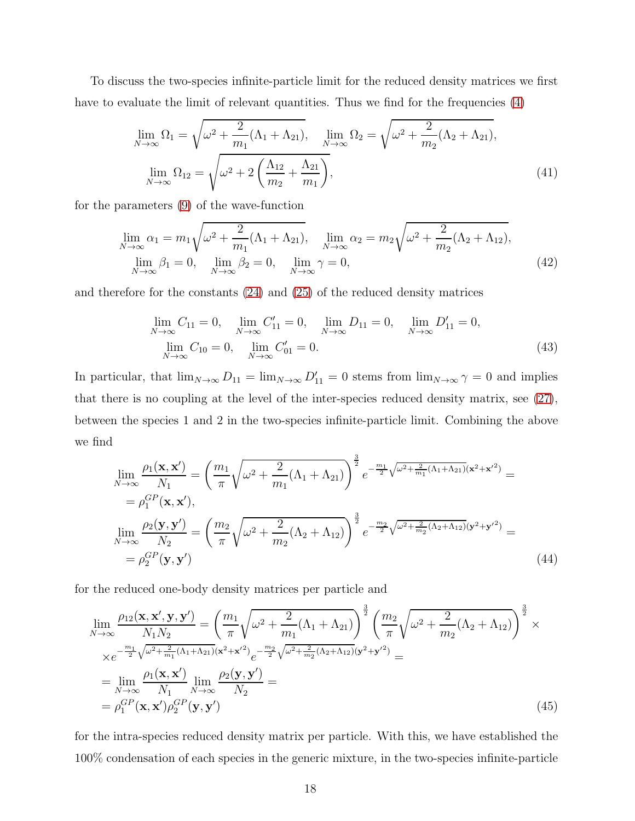To discuss the two-species infinite-particle limit for the reduced density matrices we first have to evaluate the limit of relevant quantities. Thus we find for the frequencies [\(4\)](#page-5-1)

<span id="page-17-0"></span>
$$
\lim_{N \to \infty} \Omega_1 = \sqrt{\omega^2 + \frac{2}{m_1} (\Lambda_1 + \Lambda_{21})}, \quad \lim_{N \to \infty} \Omega_2 = \sqrt{\omega^2 + \frac{2}{m_2} (\Lambda_2 + \Lambda_{21})},
$$
\n
$$
\lim_{N \to \infty} \Omega_{12} = \sqrt{\omega^2 + 2\left(\frac{\Lambda_{12}}{m_2} + \frac{\Lambda_{21}}{m_1}\right)},
$$
\n(41)

for the parameters [\(9\)](#page-6-1) of the wave-function

$$
\lim_{N \to \infty} \alpha_1 = m_1 \sqrt{\omega^2 + \frac{2}{m_1} (\Lambda_1 + \Lambda_{21})}, \quad \lim_{N \to \infty} \alpha_2 = m_2 \sqrt{\omega^2 + \frac{2}{m_2} (\Lambda_2 + \Lambda_{12})},
$$
\n
$$
\lim_{N \to \infty} \beta_1 = 0, \quad \lim_{N \to \infty} \beta_2 = 0, \quad \lim_{N \to \infty} \gamma = 0,
$$
\n(42)

and therefore for the constants [\(24\)](#page-12-0) and [\(25\)](#page-12-1) of the reduced density matrices

<span id="page-17-1"></span>
$$
\lim_{N \to \infty} C_{11} = 0, \quad \lim_{N \to \infty} C'_{11} = 0, \quad \lim_{N \to \infty} D_{11} = 0, \quad \lim_{N \to \infty} D'_{11} = 0,
$$
\n
$$
\lim_{N \to \infty} C_{10} = 0, \quad \lim_{N \to \infty} C'_{01} = 0.
$$
\n(43)

In particular, that  $\lim_{N\to\infty} D_{11} = \lim_{N\to\infty} D'_{11} = 0$  stems from  $\lim_{N\to\infty} \gamma = 0$  and implies that there is no coupling at the level of the inter-species reduced density matrix, see [\(27\)](#page-12-3), between the species 1 and 2 in the two-species infinite-particle limit. Combining the above we find

$$
\lim_{N \to \infty} \frac{\rho_1(\mathbf{x}, \mathbf{x}')}{N_1} = \left(\frac{m_1}{\pi} \sqrt{\omega^2 + \frac{2}{m_1} (\Lambda_1 + \Lambda_{21})}\right)^{\frac{3}{2}} e^{-\frac{m_1}{2} \sqrt{\omega^2 + \frac{2}{m_1} (\Lambda_1 + \Lambda_{21})} (\mathbf{x}^2 + \mathbf{x}'^2)} =
$$
\n
$$
= \rho_1^{GP}(\mathbf{x}, \mathbf{x}'),
$$
\n
$$
\lim_{N \to \infty} \frac{\rho_2(\mathbf{y}, \mathbf{y}')}{N_2} = \left(\frac{m_2}{\pi} \sqrt{\omega^2 + \frac{2}{m_2} (\Lambda_2 + \Lambda_{12})}\right)^{\frac{3}{2}} e^{-\frac{m_2}{2} \sqrt{\omega^2 + \frac{2}{m_2} (\Lambda_2 + \Lambda_{12})} (\mathbf{y}^2 + \mathbf{y}'^2)} =
$$
\n
$$
= \rho_2^{GP}(\mathbf{y}, \mathbf{y}')
$$
\n(44)

for the reduced one-body density matrices per particle and

$$
\lim_{N \to \infty} \frac{\rho_{12}(\mathbf{x}, \mathbf{x}', \mathbf{y}, \mathbf{y}')}{N_1 N_2} = \left(\frac{m_1}{\pi} \sqrt{\omega^2 + \frac{2}{m_1} (\Lambda_1 + \Lambda_{21})}\right)^{\frac{3}{2}} \left(\frac{m_2}{\pi} \sqrt{\omega^2 + \frac{2}{m_2} (\Lambda_2 + \Lambda_{12})}\right)^{\frac{3}{2}} \times
$$
\n
$$
\times e^{-\frac{m_1}{2} \sqrt{\omega^2 + \frac{2}{m_1} (\Lambda_1 + \Lambda_{21}) (\mathbf{x}^2 + \mathbf{x}'^2)} e^{-\frac{m_2}{2} \sqrt{\omega^2 + \frac{2}{m_2} (\Lambda_2 + \Lambda_{12}) (\mathbf{y}^2 + \mathbf{y}'^2)}} =
$$
\n
$$
= \lim_{N \to \infty} \frac{\rho_1(\mathbf{x}, \mathbf{x}')}{N_1} \lim_{N \to \infty} \frac{\rho_2(\mathbf{y}, \mathbf{y}')}{N_2} =
$$
\n
$$
= \rho_1^{GP}(\mathbf{x}, \mathbf{x}') \rho_2^{GP}(\mathbf{y}, \mathbf{y}') \tag{45}
$$

for the intra-species reduced density matrix per particle. With this, we have established the 100% condensation of each species in the generic mixture, in the two-species infinite-particle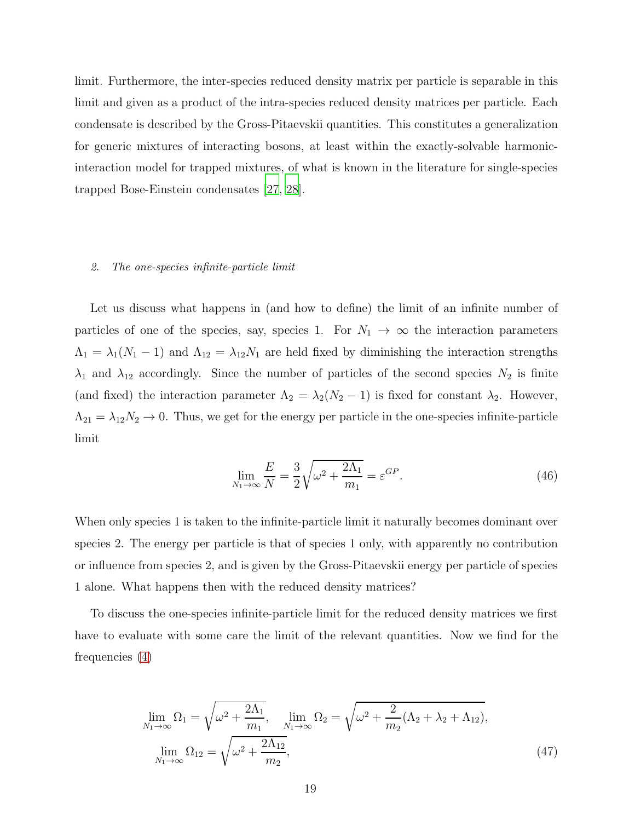limit. Furthermore, the inter-species reduced density matrix per particle is separable in this limit and given as a product of the intra-species reduced density matrices per particle. Each condensate is described by the Gross-Pitaevskii quantities. This constitutes a generalization for generic mixtures of interacting bosons, at least within the exactly-solvable harmonicinteraction model for trapped mixtures, of what is known in the literature for single-species trapped Bose-Einstein condensates [\[27](#page-28-1), [28\]](#page-28-2).

#### 2. The one-species infinite-particle limit

Let us discuss what happens in (and how to define) the limit of an infinite number of particles of one of the species, say, species 1. For  $N_1 \rightarrow \infty$  the interaction parameters  $\Lambda_1 = \lambda_1(N_1 - 1)$  and  $\Lambda_{12} = \lambda_{12}N_1$  are held fixed by diminishing the interaction strengths  $\lambda_1$  and  $\lambda_{12}$  accordingly. Since the number of particles of the second species  $N_2$  is finite (and fixed) the interaction parameter  $\Lambda_2 = \lambda_2(N_2 - 1)$  is fixed for constant  $\lambda_2$ . However,  $\Lambda_{21} = \lambda_{12}N_2 \to 0$ . Thus, we get for the energy per particle in the one-species infinite-particle limit

$$
\lim_{N_1 \to \infty} \frac{E}{N} = \frac{3}{2} \sqrt{\omega^2 + \frac{2\Lambda_1}{m_1}} = \varepsilon^{GP}.
$$
\n(46)

When only species 1 is taken to the infinite-particle limit it naturally becomes dominant over species 2. The energy per particle is that of species 1 only, with apparently no contribution or influence from species 2, and is given by the Gross-Pitaevskii energy per particle of species 1 alone. What happens then with the reduced density matrices?

To discuss the one-species infinite-particle limit for the reduced density matrices we first have to evaluate with some care the limit of the relevant quantities. Now we find for the frequencies [\(4\)](#page-5-1)

<span id="page-18-0"></span>
$$
\lim_{N_1 \to \infty} \Omega_1 = \sqrt{\omega^2 + \frac{2\Lambda_1}{m_1}}, \quad \lim_{N_1 \to \infty} \Omega_2 = \sqrt{\omega^2 + \frac{2}{m_2} (\Lambda_2 + \lambda_2 + \Lambda_{12})},
$$
\n
$$
\lim_{N_1 \to \infty} \Omega_{12} = \sqrt{\omega^2 + \frac{2\Lambda_{12}}{m_2}},
$$
\n(47)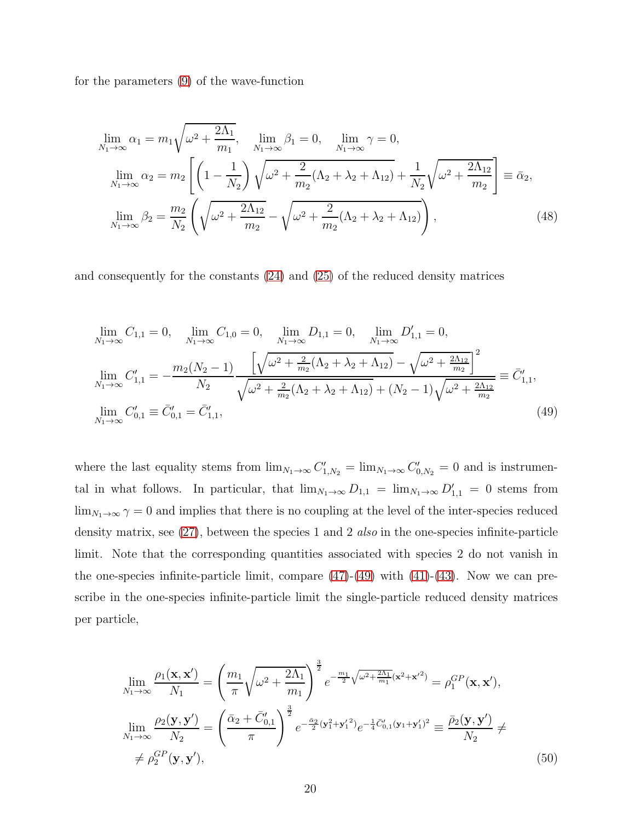for the parameters [\(9\)](#page-6-1) of the wave-function

$$
\lim_{N_1 \to \infty} \alpha_1 = m_1 \sqrt{\omega^2 + \frac{2\Lambda_1}{m_1}}, \quad \lim_{N_1 \to \infty} \beta_1 = 0, \quad \lim_{N_1 \to \infty} \gamma = 0,
$$
\n
$$
\lim_{N_1 \to \infty} \alpha_2 = m_2 \left[ \left( 1 - \frac{1}{N_2} \right) \sqrt{\omega^2 + \frac{2}{m_2} (\Lambda_2 + \lambda_2 + \Lambda_{12}) + \frac{1}{N_2} \sqrt{\omega^2 + \frac{2\Lambda_{12}}{m_2}}} \right] \equiv \bar{\alpha}_2,
$$
\n
$$
\lim_{N_1 \to \infty} \beta_2 = \frac{m_2}{N_2} \left( \sqrt{\omega^2 + \frac{2\Lambda_{12}}{m_2}} - \sqrt{\omega^2 + \frac{2}{m_2} (\Lambda_2 + \lambda_2 + \Lambda_{12})} \right),
$$
\n(48)

and consequently for the constants [\(24\)](#page-12-0) and [\(25\)](#page-12-1) of the reduced density matrices

<span id="page-19-0"></span>
$$
\lim_{N_1 \to \infty} C_{1,1} = 0, \quad \lim_{N_1 \to \infty} C_{1,0} = 0, \quad \lim_{N_1 \to \infty} D_{1,1} = 0, \quad \lim_{N_1 \to \infty} D'_{1,1} = 0,
$$
\n
$$
\lim_{N_1 \to \infty} C'_{1,1} = -\frac{m_2(N_2 - 1)}{N_2} \frac{\left[\sqrt{\omega^2 + \frac{2}{m_2}(\Lambda_2 + \lambda_2 + \Lambda_{12})} - \sqrt{\omega^2 + \frac{2\Lambda_{12}}{m_2}}\right]^2}{\sqrt{\omega^2 + \frac{2}{m_2}(\Lambda_2 + \lambda_2 + \Lambda_{12})} + (N_2 - 1)\sqrt{\omega^2 + \frac{2\Lambda_{12}}{m_2}}} \equiv \bar{C}'_{1,1},
$$
\n
$$
\lim_{N_1 \to \infty} C'_{0,1} \equiv \bar{C}'_{0,1} = \bar{C}'_{1,1},
$$
\n(49)

where the last equality stems from  $\lim_{N_1 \to \infty} C'_{1,N_2} = \lim_{N_1 \to \infty} C'_{0,N_2} = 0$  and is instrumental in what follows. In particular, that  $\lim_{N_1 \to \infty} D_{1,1} = \lim_{N_1 \to \infty} D'_{1,1} = 0$  stems from  $\lim_{N_1\to\infty}\gamma=0$  and implies that there is no coupling at the level of the inter-species reduced density matrix, see [\(27\)](#page-12-3), between the species 1 and 2 *also* in the one-species infinite-particle limit. Note that the corresponding quantities associated with species 2 do not vanish in the one-species infinite-particle limit, compare  $(47)-(49)$  $(47)-(49)$  with  $(41)-(43)$  $(41)-(43)$ . Now we can prescribe in the one-species infinite-particle limit the single-particle reduced density matrices per particle,

<span id="page-19-1"></span>
$$
\lim_{N_1 \to \infty} \frac{\rho_1(\mathbf{x}, \mathbf{x}')}{N_1} = \left(\frac{m_1}{\pi} \sqrt{\omega^2 + \frac{2\Lambda_1}{m_1}}\right)^{\frac{3}{2}} e^{-\frac{m_1}{2} \sqrt{\omega^2 + \frac{2\Lambda_1}{m_1}}(\mathbf{x}^2 + \mathbf{x}'^2)} = \rho_1^{GP}(\mathbf{x}, \mathbf{x}'),
$$
\n
$$
\lim_{N_1 \to \infty} \frac{\rho_2(\mathbf{y}, \mathbf{y}')}{N_2} = \left(\frac{\bar{\alpha}_2 + \bar{C}'_{0,1}}{\pi}\right)^{\frac{3}{2}} e^{-\frac{\bar{\alpha}_2}{2}(\mathbf{y}_1^2 + \mathbf{y}_1'^2)} e^{-\frac{1}{4}\bar{C}'_{0,1}(\mathbf{y}_1 + \mathbf{y}_1')^2} \equiv \frac{\bar{\rho}_2(\mathbf{y}, \mathbf{y}')}{N_2} \neq
$$
\n
$$
\neq \rho_2^{GP}(\mathbf{y}, \mathbf{y}'), \tag{50}
$$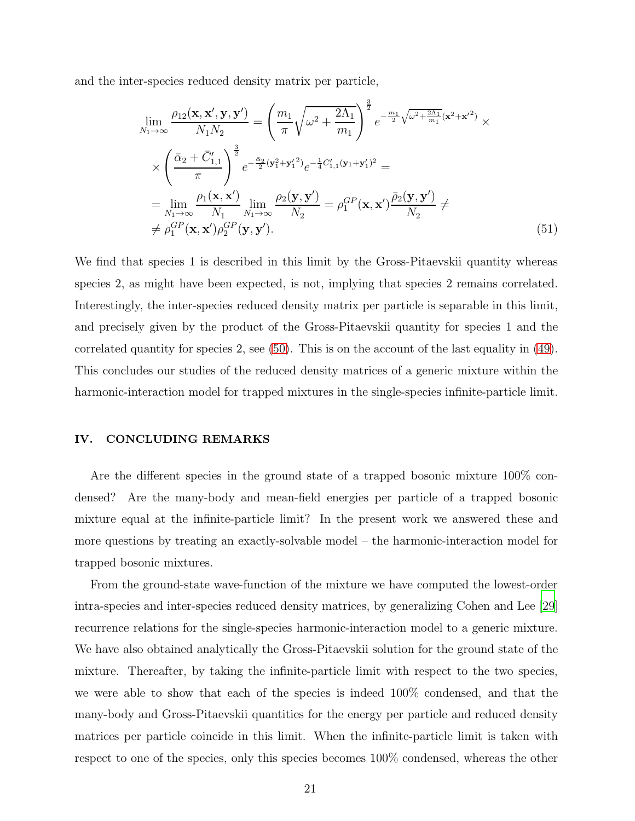and the inter-species reduced density matrix per particle,

$$
\lim_{N_1 \to \infty} \frac{\rho_{12}(\mathbf{x}, \mathbf{x}', \mathbf{y}, \mathbf{y}')}{N_1 N_2} = \left(\frac{m_1}{\pi} \sqrt{\omega^2 + \frac{2\Lambda_1}{m_1}}\right)^{\frac{3}{2}} e^{-\frac{m_1}{2} \sqrt{\omega^2 + \frac{2\Lambda_1}{m_1}} (\mathbf{x}^2 + \mathbf{x}'^2)} \times
$$
\n
$$
\times \left(\frac{\bar{\alpha}_2 + \bar{C}'_{1,1}}{\pi}\right)^{\frac{3}{2}} e^{-\frac{\bar{\alpha}_2}{2} (\mathbf{y}_1^2 + \mathbf{y}_1'^2)} e^{-\frac{1}{4} \bar{C}'_{1,1} (\mathbf{y}_1 + \mathbf{y}_1')^2} =
$$
\n
$$
= \lim_{N_1 \to \infty} \frac{\rho_1(\mathbf{x}, \mathbf{x}')}{N_1} \lim_{N_1 \to \infty} \frac{\rho_2(\mathbf{y}, \mathbf{y}')}{N_2} = \rho_1^{GP}(\mathbf{x}, \mathbf{x}') \frac{\bar{\rho}_2(\mathbf{y}, \mathbf{y}')}{N_2} \neq
$$
\n
$$
\neq \rho_1^{GP}(\mathbf{x}, \mathbf{x}') \rho_2^{GP}(\mathbf{y}, \mathbf{y}'). \tag{51}
$$

We find that species 1 is described in this limit by the Gross-Pitaevskii quantity whereas species 2, as might have been expected, is not, implying that species 2 remains correlated. Interestingly, the inter-species reduced density matrix per particle is separable in this limit, and precisely given by the product of the Gross-Pitaevskii quantity for species 1 and the correlated quantity for species 2, see [\(50\)](#page-19-1). This is on the account of the last equality in [\(49\)](#page-19-0). This concludes our studies of the reduced density matrices of a generic mixture within the harmonic-interaction model for trapped mixtures in the single-species infinite-particle limit.

## <span id="page-20-0"></span>IV. CONCLUDING REMARKS

Are the different species in the ground state of a trapped bosonic mixture 100% condensed? Are the many-body and mean-field energies per particle of a trapped bosonic mixture equal at the infinite-particle limit? In the present work we answered these and more questions by treating an exactly-solvable model – the harmonic-interaction model for trapped bosonic mixtures.

From the ground-state wave-function of the mixture we have computed the lowest-order intra-species and inter-species reduced density matrices, by generalizing Cohen and Lee [\[29\]](#page-28-3) recurrence relations for the single-species harmonic-interaction model to a generic mixture. We have also obtained analytically the Gross-Pitaevskii solution for the ground state of the mixture. Thereafter, by taking the infinite-particle limit with respect to the two species, we were able to show that each of the species is indeed 100% condensed, and that the many-body and Gross-Pitaevskii quantities for the energy per particle and reduced density matrices per particle coincide in this limit. When the infinite-particle limit is taken with respect to one of the species, only this species becomes 100% condensed, whereas the other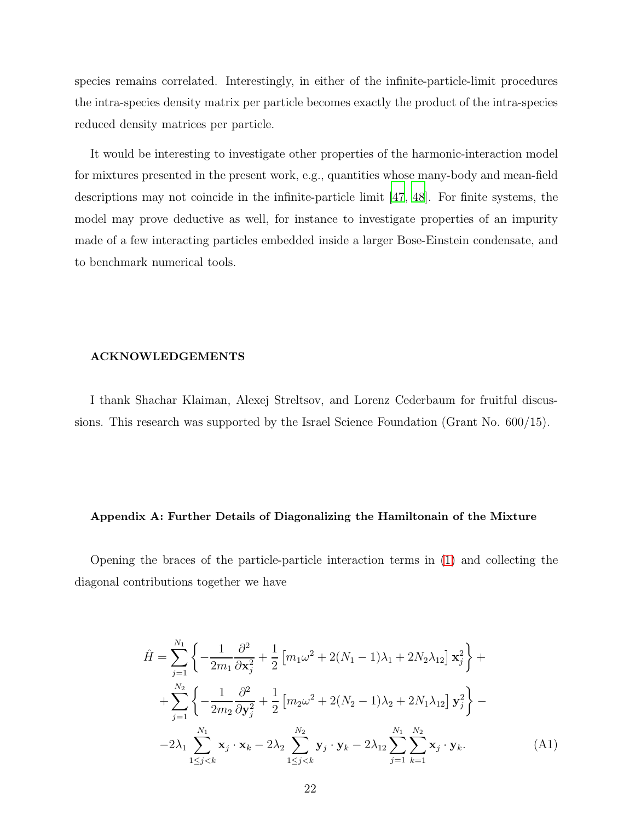species remains correlated. Interestingly, in either of the infinite-particle-limit procedures the intra-species density matrix per particle becomes exactly the product of the intra-species reduced density matrices per particle.

It would be interesting to investigate other properties of the harmonic-interaction model for mixtures presented in the present work, e.g., quantities whose many-body and mean-field descriptions may not coincide in the infinite-particle limit [\[47](#page-30-3), [48\]](#page-30-4). For finite systems, the model may prove deductive as well, for instance to investigate properties of an impurity made of a few interacting particles embedded inside a larger Bose-Einstein condensate, and to benchmark numerical tools.

### ACKNOWLEDGEMENTS

I thank Shachar Klaiman, Alexej Streltsov, and Lorenz Cederbaum for fruitful discussions. This research was supported by the Israel Science Foundation (Grant No. 600/15).

#### <span id="page-21-0"></span>Appendix A: Further Details of Diagonalizing the Hamiltonain of the Mixture

Opening the braces of the particle-particle interaction terms in [\(1\)](#page-4-0) and collecting the diagonal contributions together we have

<span id="page-21-1"></span>
$$
\hat{H} = \sum_{j=1}^{N_1} \left\{ -\frac{1}{2m_1} \frac{\partial^2}{\partial \mathbf{x}_j^2} + \frac{1}{2} \left[ m_1 \omega^2 + 2(N_1 - 1)\lambda_1 + 2N_2 \lambda_{12} \right] \mathbf{x}_j^2 \right\} +
$$
  
+ 
$$
\sum_{j=1}^{N_2} \left\{ -\frac{1}{2m_2} \frac{\partial^2}{\partial \mathbf{y}_j^2} + \frac{1}{2} \left[ m_2 \omega^2 + 2(N_2 - 1)\lambda_2 + 2N_1 \lambda_{12} \right] \mathbf{y}_j^2 \right\} -
$$
  
- 
$$
-2\lambda_1 \sum_{1 \le j < k}^{N_1} \mathbf{x}_j \cdot \mathbf{x}_k - 2\lambda_2 \sum_{1 \le j < k}^{N_2} \mathbf{y}_j \cdot \mathbf{y}_k - 2\lambda_{12} \sum_{j=1}^{N_1} \sum_{k=1}^{N_2} \mathbf{x}_j \cdot \mathbf{y}_k.
$$
 (A1)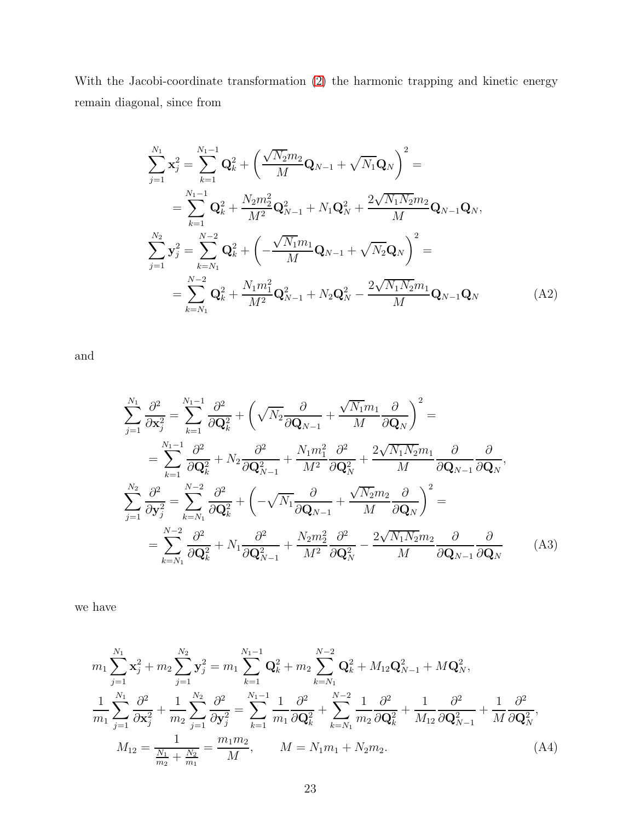With the Jacobi-coordinate transformation [\(2\)](#page-4-1) the harmonic trapping and kinetic energy remain diagonal, since from

<span id="page-22-0"></span>
$$
\sum_{j=1}^{N_1} \mathbf{x}_j^2 = \sum_{k=1}^{N_1-1} \mathbf{Q}_k^2 + \left(\frac{\sqrt{N_2}m_2}{M} \mathbf{Q}_{N-1} + \sqrt{N_1} \mathbf{Q}_N\right)^2 =
$$
\n
$$
= \sum_{k=1}^{N_1-1} \mathbf{Q}_k^2 + \frac{N_2m_2^2}{M^2} \mathbf{Q}_{N-1}^2 + N_1 \mathbf{Q}_N^2 + \frac{2\sqrt{N_1}N_2m_2}{M} \mathbf{Q}_{N-1} \mathbf{Q}_N,
$$
\n
$$
\sum_{j=1}^{N_2} \mathbf{y}_j^2 = \sum_{k=N_1}^{N-2} \mathbf{Q}_k^2 + \left(-\frac{\sqrt{N_1}m_1}{M} \mathbf{Q}_{N-1} + \sqrt{N_2} \mathbf{Q}_N\right)^2 =
$$
\n
$$
= \sum_{k=N_1}^{N-2} \mathbf{Q}_k^2 + \frac{N_1m_1^2}{M^2} \mathbf{Q}_{N-1}^2 + N_2 \mathbf{Q}_N^2 - \frac{2\sqrt{N_1}N_2m_1}{M} \mathbf{Q}_{N-1} \mathbf{Q}_N \tag{A2}
$$

and

$$
\sum_{j=1}^{N_1} \frac{\partial^2}{\partial \mathbf{x}_j^2} = \sum_{k=1}^{N_1-1} \frac{\partial^2}{\partial \mathbf{Q}_k^2} + \left(\sqrt{N_2} \frac{\partial}{\partial \mathbf{Q}_{N-1}} + \frac{\sqrt{N_1} m_1}{M} \frac{\partial}{\partial \mathbf{Q}_N}\right)^2 =
$$
\n
$$
= \sum_{k=1}^{N_1-1} \frac{\partial^2}{\partial \mathbf{Q}_k^2} + N_2 \frac{\partial^2}{\partial \mathbf{Q}_{N-1}^2} + \frac{N_1 m_1^2}{M^2} \frac{\partial^2}{\partial \mathbf{Q}_N^2} + \frac{2\sqrt{N_1 N_2} m_1}{M} \frac{\partial}{\partial \mathbf{Q}_{N-1}} \frac{\partial}{\partial \mathbf{Q}_N},
$$
\n
$$
\sum_{j=1}^{N_2} \frac{\partial^2}{\partial \mathbf{y}_j^2} = \sum_{k=N_1}^{N-2} \frac{\partial^2}{\partial \mathbf{Q}_k^2} + \left(-\sqrt{N_1} \frac{\partial}{\partial \mathbf{Q}_{N-1}} + \frac{\sqrt{N_2} m_2}{M} \frac{\partial}{\partial \mathbf{Q}_N}\right)^2 =
$$
\n
$$
= \sum_{k=N_1}^{N-2} \frac{\partial^2}{\partial \mathbf{Q}_k^2} + N_1 \frac{\partial^2}{\partial \mathbf{Q}_{N-1}^2} + \frac{N_2 m_2^2}{M^2} \frac{\partial^2}{\partial \mathbf{Q}_N^2} - \frac{2\sqrt{N_1 N_2} m_2}{M} \frac{\partial}{\partial \mathbf{Q}_{N-1}} \frac{\partial}{\partial \mathbf{Q}_N}
$$
\n(A3)

we have

<span id="page-22-1"></span>
$$
m_{1} \sum_{j=1}^{N_{1}} \mathbf{x}_{j}^{2} + m_{2} \sum_{j=1}^{N_{2}} \mathbf{y}_{j}^{2} = m_{1} \sum_{k=1}^{N_{1}-1} \mathbf{Q}_{k}^{2} + m_{2} \sum_{k=N_{1}}^{N-2} \mathbf{Q}_{k}^{2} + M_{12} \mathbf{Q}_{N-1}^{2} + M \mathbf{Q}_{N}^{2},
$$
  

$$
\frac{1}{m_{1}} \sum_{j=1}^{N_{1}} \frac{\partial^{2}}{\partial \mathbf{x}_{j}^{2}} + \frac{1}{m_{2}} \sum_{j=1}^{N_{2}} \frac{\partial^{2}}{\partial \mathbf{y}_{j}^{2}} = \sum_{k=1}^{N_{1}-1} \frac{1}{m_{1}} \frac{\partial^{2}}{\partial \mathbf{Q}_{k}^{2}} + \sum_{k=N_{1}}^{N-2} \frac{1}{m_{2}} \frac{\partial^{2}}{\partial \mathbf{Q}_{k}^{2}} + \frac{1}{M_{12}} \frac{\partial^{2}}{\partial \mathbf{Q}_{N-1}^{2}} + \frac{1}{M} \frac{\partial^{2}}{\partial \mathbf{Q}_{N}^{2}},
$$
  

$$
M_{12} = \frac{1}{\frac{N_{1}}{m_{2}} + \frac{N_{2}}{m_{1}}} = \frac{m_{1} m_{2}}{M}, \qquad M = N_{1} m_{1} + N_{2} m_{2}.
$$
 (A4)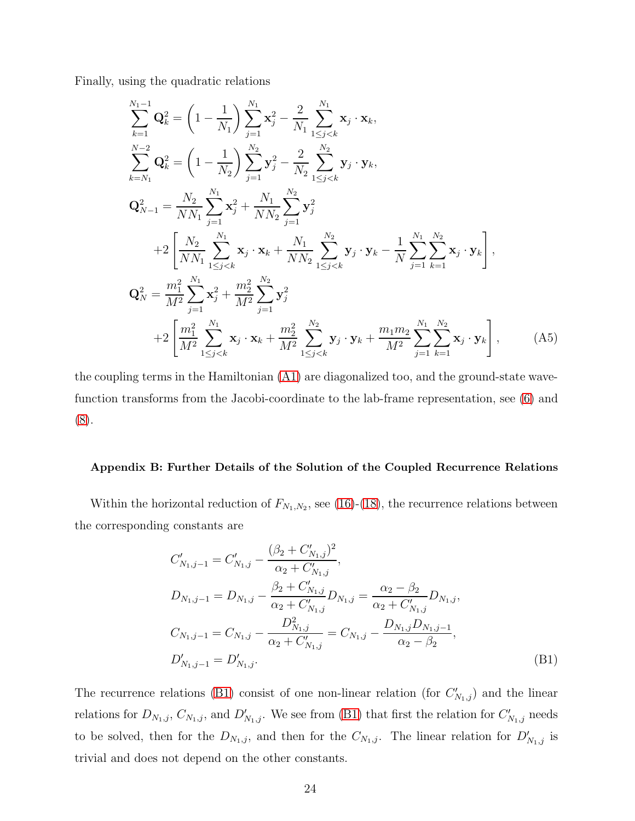Finally, using the quadratic relations

<span id="page-23-0"></span>
$$
\sum_{k=1}^{N_1-1} \mathbf{Q}_k^2 = \left(1 - \frac{1}{N_1}\right) \sum_{j=1}^{N_1} \mathbf{x}_j^2 - \frac{2}{N_1} \sum_{1 \le j < k}^{N_1} \mathbf{x}_j \cdot \mathbf{x}_k,
$$
\n
$$
\sum_{k=N_1}^{N-2} \mathbf{Q}_k^2 = \left(1 - \frac{1}{N_2}\right) \sum_{j=1}^{N_2} \mathbf{y}_j^2 - \frac{2}{N_2} \sum_{1 \le j < k}^{N_2} \mathbf{y}_j \cdot \mathbf{y}_k,
$$
\n
$$
\mathbf{Q}_{N-1}^2 = \frac{N_2}{NN_1} \sum_{j=1}^{N_1} \mathbf{x}_j^2 + \frac{N_1}{NN_2} \sum_{j=1}^{N_2} \mathbf{y}_j^2
$$
\n
$$
+ 2 \left[ \frac{N_2}{NN_1} \sum_{1 \le j < k}^{N_1} \mathbf{x}_j \cdot \mathbf{x}_k + \frac{N_1}{NN_2} \sum_{1 \le j < k}^{N_2} \mathbf{y}_j \cdot \mathbf{y}_k - \frac{1}{N} \sum_{j=1}^{N_1} \sum_{k=1}^{N_2} \mathbf{x}_j \cdot \mathbf{y}_k \right],
$$
\n
$$
\mathbf{Q}_N^2 = \frac{m_1^2}{M^2} \sum_{j=1}^{N_1} \mathbf{x}_j^2 + \frac{m_2^2}{M^2} \sum_{j=1}^{N_2} \mathbf{y}_j^2
$$
\n
$$
+ 2 \left[ \frac{m_1^2}{M^2} \sum_{1 \le j < k}^{N_1} \mathbf{x}_j \cdot \mathbf{x}_k + \frac{m_2^2}{M^2} \sum_{1 \le j < k}^{N_2} \mathbf{y}_j \cdot \mathbf{y}_k + \frac{m_1 m_2}{M^2} \sum_{j=1}^{N_1} \sum_{k=1}^{N_2} \mathbf{x}_j \cdot \mathbf{y}_k \right], \qquad (A5)
$$

the coupling terms in the Hamiltonian [\(A1\)](#page-21-1) are diagonalized too, and the ground-state wavefunction transforms from the Jacobi-coordinate to the lab-frame representation, see [\(6\)](#page-5-3) and [\(8\)](#page-6-0).

### <span id="page-23-1"></span>Appendix B: Further Details of the Solution of the Coupled Recurrence Relations

Within the horizontal reduction of  $F_{N_1,N_2}$ , see [\(16\)](#page-9-0)-[\(18\)](#page-10-1), the recurrence relations between the corresponding constants are

<span id="page-23-2"></span>
$$
C'_{N_1,j-1} = C'_{N_1,j} - \frac{(\beta_2 + C'_{N_1,j})^2}{\alpha_2 + C'_{N_1,j}},
$$
  
\n
$$
D_{N_1,j-1} = D_{N_1,j} - \frac{\beta_2 + C'_{N_1,j}}{\alpha_2 + C'_{N_1,j}} D_{N_1,j} = \frac{\alpha_2 - \beta_2}{\alpha_2 + C'_{N_1,j}} D_{N_1,j},
$$
  
\n
$$
C_{N_1,j-1} = C_{N_1,j} - \frac{D_{N_1,j}^2}{\alpha_2 + C'_{N_1,j}} = C_{N_1,j} - \frac{D_{N_1,j}D_{N_1,j-1}}{\alpha_2 - \beta_2},
$$
  
\n
$$
D'_{N_1,j-1} = D'_{N_1,j}.
$$
\n(B1)

The recurrence relations [\(B1\)](#page-23-2) consist of one non-linear relation (for  $C'_{N_1,j}$ ) and the linear relations for  $D_{N_1,j}$ ,  $C_{N_1,j}$ , and  $D'_{N_1,j}$ . We see from [\(B1\)](#page-23-2) that first the relation for  $C'_{N_1,j}$  needs to be solved, then for the  $D_{N_1,j}$ , and then for the  $C_{N_1,j}$ . The linear relation for  $D'_{N_1,j}$  is trivial and does not depend on the other constants.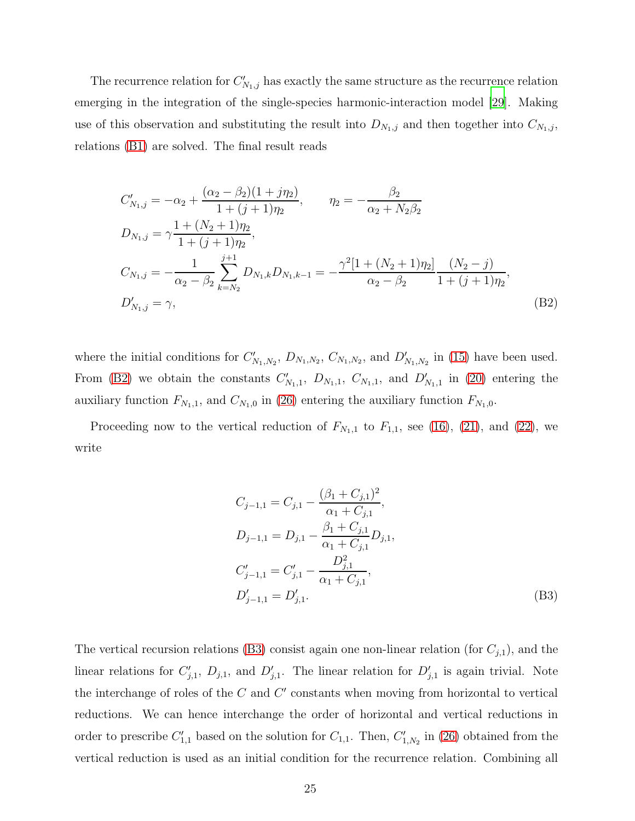The recurrence relation for  $C'_{N_1,j}$  has exactly the same structure as the recurrence relation emerging in the integration of the single-species harmonic-interaction model [\[29](#page-28-3)]. Making use of this observation and substituting the result into  $D_{N_1,j}$  and then together into  $C_{N_1,j}$ , relations [\(B1\)](#page-23-2) are solved. The final result reads

<span id="page-24-0"></span>
$$
C'_{N_1,j} = -\alpha_2 + \frac{(\alpha_2 - \beta_2)(1 + j\eta_2)}{1 + (j + 1)\eta_2}, \qquad \eta_2 = -\frac{\beta_2}{\alpha_2 + N_2\beta_2}
$$
  
\n
$$
D_{N_1,j} = \gamma \frac{1 + (N_2 + 1)\eta_2}{1 + (j + 1)\eta_2},
$$
  
\n
$$
C_{N_1,j} = -\frac{1}{\alpha_2 - \beta_2} \sum_{k=N_2}^{j+1} D_{N_1,k} D_{N_1,k-1} = -\frac{\gamma^2 [1 + (N_2 + 1)\eta_2]}{\alpha_2 - \beta_2} \frac{(N_2 - j)}{1 + (j + 1)\eta_2},
$$
  
\n
$$
D'_{N_1,j} = \gamma,
$$
\n(B2)

where the initial conditions for  $C'_{N_1,N_2}$ ,  $D_{N_1,N_2}$ ,  $C_{N_1,N_2}$ , and  $D'_{N_1,N_2}$  in [\(15\)](#page-9-2) have been used. From [\(B2\)](#page-24-0) we obtain the constants  $C'_{N_1,1}$ ,  $D_{N_1,1}$ ,  $C_{N_1,1}$ , and  $D'_{N_1,1}$  in [\(20\)](#page-10-0) entering the auxiliary function  $F_{N_1,1}$ , and  $C_{N_1,0}$  in [\(26\)](#page-12-4) entering the auxiliary function  $F_{N_1,0}$ .

Proceeding now to the vertical reduction of  $F_{N_1,1}$  to  $F_{1,1}$ , see [\(16\)](#page-9-0), [\(21\)](#page-11-1), and [\(22\)](#page-11-0), we write

<span id="page-24-1"></span>
$$
C_{j-1,1} = C_{j,1} - \frac{(\beta_1 + C_{j,1})^2}{\alpha_1 + C_{j,1}},
$$
  
\n
$$
D_{j-1,1} = D_{j,1} - \frac{\beta_1 + C_{j,1}}{\alpha_1 + C_{j,1}} D_{j,1},
$$
  
\n
$$
C'_{j-1,1} = C'_{j,1} - \frac{D_{j,1}^2}{\alpha_1 + C_{j,1}},
$$
  
\n
$$
D'_{j-1,1} = D'_{j,1}.
$$
  
\n(B3)

The vertical recursion relations [\(B3\)](#page-24-1) consist again one non-linear relation (for  $C_{j,1}$ ), and the linear relations for  $C'_{j,1}$ ,  $D_{j,1}$ , and  $D'_{j,1}$ . The linear relation for  $D'_{j,1}$  is again trivial. Note the interchange of roles of the  $C$  and  $C'$  constants when moving from horizontal to vertical reductions. We can hence interchange the order of horizontal and vertical reductions in order to prescribe  $C'_{1,1}$  based on the solution for  $C_{1,1}$ . Then,  $C'_{1,N_2}$  in [\(26\)](#page-12-4) obtained from the vertical reduction is used as an initial condition for the recurrence relation. Combining all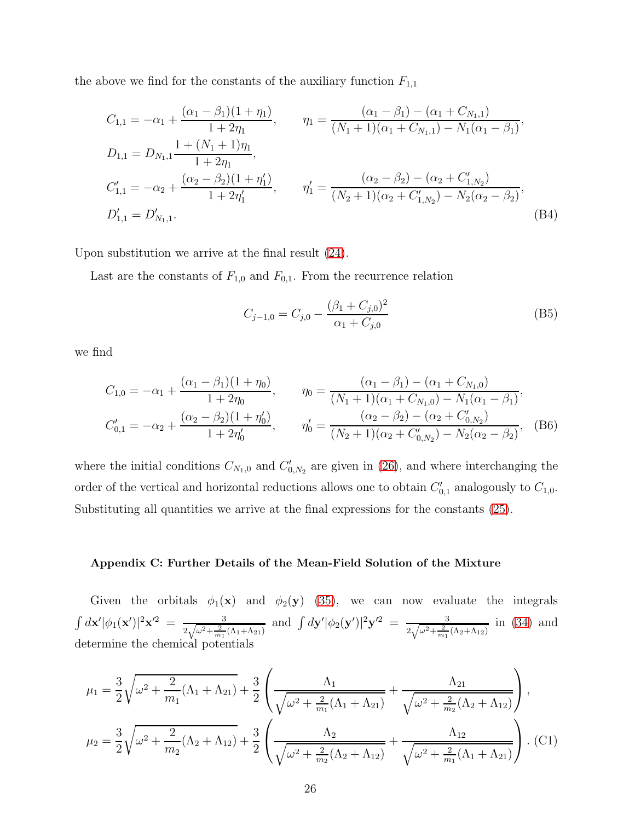the above we find for the constants of the auxiliary function  $F_{1,1}$ 

$$
C_{1,1} = -\alpha_1 + \frac{(\alpha_1 - \beta_1)(1 + \eta_1)}{1 + 2\eta_1}, \qquad \eta_1 = \frac{(\alpha_1 - \beta_1) - (\alpha_1 + C_{N_1,1})}{(N_1 + 1)(\alpha_1 + C_{N_1,1}) - N_1(\alpha_1 - \beta_1)},
$$
  
\n
$$
D_{1,1} = D_{N_1,1} \frac{1 + (N_1 + 1)\eta_1}{1 + 2\eta_1},
$$
  
\n
$$
C'_{1,1} = -\alpha_2 + \frac{(\alpha_2 - \beta_2)(1 + \eta'_1)}{1 + 2\eta'_1}, \qquad \eta'_1 = \frac{(\alpha_2 - \beta_2) - (\alpha_2 + C'_{1,N_2})}{(N_2 + 1)(\alpha_2 + C'_{1,N_2}) - N_2(\alpha_2 - \beta_2)},
$$
  
\n
$$
D'_{1,1} = D'_{N_1,1}.
$$
\n(B4)

Upon substitution we arrive at the final result [\(24\)](#page-12-0).

Last are the constants of  $F_{1,0}$  and  $F_{0,1}$ . From the recurrence relation

$$
C_{j-1,0} = C_{j,0} - \frac{(\beta_1 + C_{j,0})^2}{\alpha_1 + C_{j,0}}
$$
(B5)

we find

$$
C_{1,0} = -\alpha_1 + \frac{(\alpha_1 - \beta_1)(1 + \eta_0)}{1 + 2\eta_0}, \qquad \eta_0 = \frac{(\alpha_1 - \beta_1) - (\alpha_1 + C_{N_1,0})}{(N_1 + 1)(\alpha_1 + C_{N_1,0}) - N_1(\alpha_1 - \beta_1)},
$$
  

$$
C'_{0,1} = -\alpha_2 + \frac{(\alpha_2 - \beta_2)(1 + \eta'_0)}{1 + 2\eta'_0}, \qquad \eta'_0 = \frac{(\alpha_2 - \beta_2) - (\alpha_2 + C'_{0,N_2})}{(N_2 + 1)(\alpha_2 + C'_{0,N_2}) - N_2(\alpha_2 - \beta_2)},
$$
(B6)

where the initial conditions  $C_{N_1,0}$  and  $C'_{0,N_2}$  are given in [\(26\)](#page-12-4), and where interchanging the order of the vertical and horizontal reductions allows one to obtain  $C'_{0,1}$  analogously to  $C_{1,0}$ . Substituting all quantities we arrive at the final expressions for the constants [\(25\)](#page-12-1).

#### <span id="page-25-0"></span>Appendix C: Further Details of the Mean-Field Solution of the Mixture

Given the orbitals  $\phi_1(\mathbf{x})$  and  $\phi_2(\mathbf{y})$  [\(35\)](#page-14-1), we can now evaluate the integrals  $\int d{\bf x}' |\phi_1({\bf x}')|^2 {\bf x}'^2 ~=~ {3 \over 2\sqrt{\omega^2 + 2}}$  $\frac{3}{2\sqrt{\omega^2+\frac{2}{m_1}(\Lambda_1+\Lambda_{21})}}$  and  $\int d\mathbf{y}'|\phi_2(\mathbf{y}')|^2\mathbf{y}'^2 = \frac{3}{2\sqrt{\omega^2+\frac{2}{m_1}}}$  $\frac{3}{2\sqrt{\omega^2 + \frac{2}{m_1}(\Lambda_2 + \Lambda_{12})}}$  in [\(34\)](#page-14-0) and determine the chemical potentials

$$
\mu_1 = \frac{3}{2} \sqrt{\omega^2 + \frac{2}{m_1} (\Lambda_1 + \Lambda_{21})} + \frac{3}{2} \left( \frac{\Lambda_1}{\sqrt{\omega^2 + \frac{2}{m_1} (\Lambda_1 + \Lambda_{21})}} + \frac{\Lambda_{21}}{\sqrt{\omega^2 + \frac{2}{m_2} (\Lambda_2 + \Lambda_{12})}} \right),
$$
  

$$
\mu_2 = \frac{3}{2} \sqrt{\omega^2 + \frac{2}{m_2} (\Lambda_2 + \Lambda_{12})} + \frac{3}{2} \left( \frac{\Lambda_2}{\sqrt{\omega^2 + \frac{2}{m_2} (\Lambda_2 + \Lambda_{12})}} + \frac{\Lambda_{12}}{\sqrt{\omega^2 + \frac{2}{m_1} (\Lambda_1 + \Lambda_{21})}} \right).
$$
 (C1)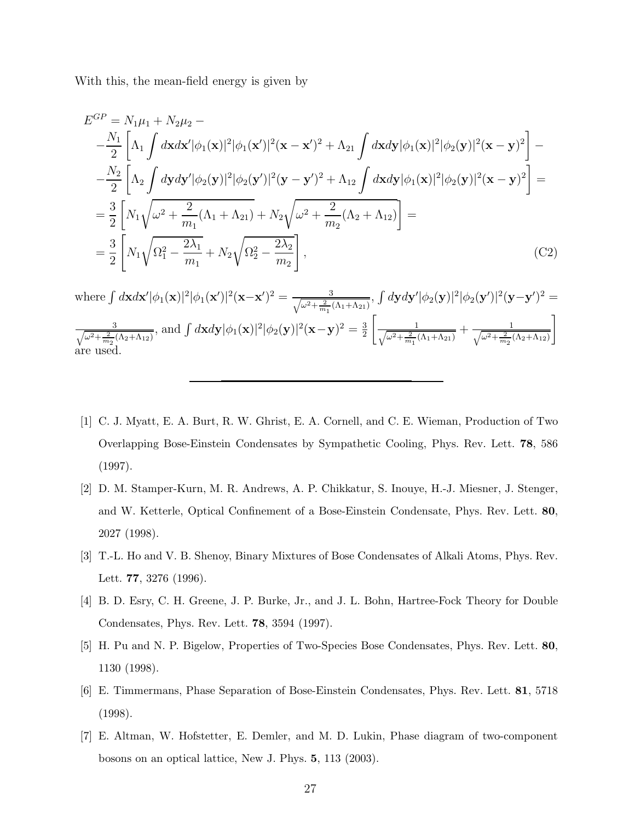With this, the mean-field energy is given by

$$
E^{GP} = N_1 \mu_1 + N_2 \mu_2 -
$$
  
\n
$$
-\frac{N_1}{2} \left[ \Lambda_1 \int d\mathbf{x} d\mathbf{x}' |\phi_1(\mathbf{x})|^2 |\phi_1(\mathbf{x}')|^2 (\mathbf{x} - \mathbf{x}')^2 + \Lambda_{21} \int d\mathbf{x} d\mathbf{y} |\phi_1(\mathbf{x})|^2 |\phi_2(\mathbf{y})|^2 (\mathbf{x} - \mathbf{y})^2 \right] -
$$
  
\n
$$
-\frac{N_2}{2} \left[ \Lambda_2 \int d\mathbf{y} d\mathbf{y}' |\phi_2(\mathbf{y})|^2 |\phi_2(\mathbf{y}')|^2 (\mathbf{y} - \mathbf{y}')^2 + \Lambda_{12} \int d\mathbf{x} d\mathbf{y} |\phi_1(\mathbf{x})|^2 |\phi_2(\mathbf{y})|^2 (\mathbf{x} - \mathbf{y})^2 \right] =
$$
  
\n
$$
= \frac{3}{2} \left[ N_1 \sqrt{\omega^2 + \frac{2}{m_1} (\Lambda_1 + \Lambda_{21}) + N_2 \sqrt{\omega^2 + \frac{2}{m_2} (\Lambda_2 + \Lambda_{12})} } \right] =
$$
  
\n
$$
= \frac{3}{2} \left[ N_1 \sqrt{\Omega_1^2 - \frac{2\lambda_1}{m_1}} + N_2 \sqrt{\Omega_2^2 - \frac{2\lambda_2}{m_2}} \right],
$$
 (C2)

where  $\int d\mathbf{x} d\mathbf{x}' |\phi_1(\mathbf{x})|^2 |\phi_1(\mathbf{x}')|^2 (\mathbf{x}-\mathbf{x}')^2 = \frac{3}{\sqrt{\omega^2 + \frac{2}{\omega^2}}}$  $\frac{3}{\omega^2+\frac{2}{m_1}(\Lambda_1+\Lambda_{21})}, \int d{\bf y} d{\bf y}'|\phi_2({\bf y})|^2|\phi_2({\bf y}')|^2({\bf y}-{\bf y}')^2 =$  $\frac{1}{2}$ 3  $\frac{3}{\omega^2+\frac{2}{m_2}(\Lambda_2+\Lambda_{12})}$ , and  $\int d\mathbf{x}d\mathbf{y}|\phi_1(\mathbf{x})|^2|\phi_2(\mathbf{y})|^2(\mathbf{x}-\mathbf{y})^2=\frac{3}{2}$ 2  $\sqrt{ }$  $\frac{1}{2}$ 1  $\frac{1}{\omega^2 + \frac{2}{m_1}(\Lambda_1 + \Lambda_{21})} + \frac{1}{\sqrt{\omega^2 + \frac{2}{m_2}(\Lambda_1 + \Lambda_{21})}}$  $\omega^2 + \frac{2}{m_2}(\Lambda_2 + \Lambda_{12})$ 1 are used.

- <span id="page-26-0"></span>[1] C. J. Myatt, E. A. Burt, R. W. Ghrist, E. A. Cornell, and C. E. Wieman, Production of Two Overlapping Bose-Einstein Condensates by Sympathetic Cooling, Phys. Rev. Lett. 78, 586 (1997).
- [2] D. M. Stamper-Kurn, M. R. Andrews, A. P. Chikkatur, S. Inouye, H.-J. Miesner, J. Stenger, and W. Ketterle, Optical Confinement of a Bose-Einstein Condensate, Phys. Rev. Lett. 80, 2027 (1998).
- [3] T.-L. Ho and V. B. Shenoy, Binary Mixtures of Bose Condensates of Alkali Atoms, Phys. Rev. Lett. 77, 3276 (1996).
- [4] B. D. Esry, C. H. Greene, J. P. Burke, Jr., and J. L. Bohn, Hartree-Fock Theory for Double Condensates, Phys. Rev. Lett. 78, 3594 (1997).
- [5] H. Pu and N. P. Bigelow, Properties of Two-Species Bose Condensates, Phys. Rev. Lett. 80, 1130 (1998).
- [6] E. Timmermans, Phase Separation of Bose-Einstein Condensates, Phys. Rev. Lett. 81, 5718 (1998).
- [7] E. Altman, W. Hofstetter, E. Demler, and M. D. Lukin, Phase diagram of two-component bosons on an optical lattice, New J. Phys. 5, 113 (2003).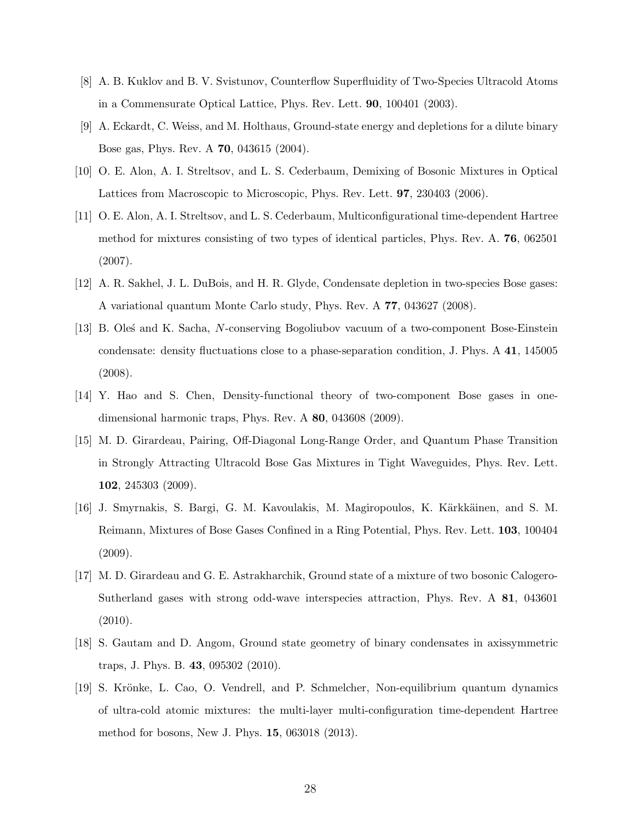- [8] A. B. Kuklov and B. V. Svistunov, Counterflow Superfluidity of Two-Species Ultracold Atoms in a Commensurate Optical Lattice, Phys. Rev. Lett. 90, 100401 (2003).
- [9] A. Eckardt, C. Weiss, and M. Holthaus, Ground-state energy and depletions for a dilute binary Bose gas, Phys. Rev. A 70, 043615 (2004).
- [10] O. E. Alon, A. I. Streltsov, and L. S. Cederbaum, Demixing of Bosonic Mixtures in Optical Lattices from Macroscopic to Microscopic, Phys. Rev. Lett. 97, 230403 (2006).
- [11] O. E. Alon, A. I. Streltsov, and L. S. Cederbaum, Multiconfigurational time-dependent Hartree method for mixtures consisting of two types of identical particles, Phys. Rev. A. 76, 062501 (2007).
- [12] A. R. Sakhel, J. L. DuBois, and H. R. Glyde, Condensate depletion in two-species Bose gases: A variational quantum Monte Carlo study, Phys. Rev. A 77, 043627 (2008).
- [13] B. Oles´ and K. Sacha, N-conserving Bogoliubov vacuum of a two-component Bose-Einstein condensate: density fluctuations close to a phase-separation condition, J. Phys. A 41, 145005 (2008).
- [14] Y. Hao and S. Chen, Density-functional theory of two-component Bose gases in onedimensional harmonic traps, Phys. Rev. A 80, 043608 (2009).
- [15] M. D. Girardeau, Pairing, Off-Diagonal Long-Range Order, and Quantum Phase Transition in Strongly Attracting Ultracold Bose Gas Mixtures in Tight Waveguides, Phys. Rev. Lett. 102, 245303 (2009).
- [16] J. Smyrnakis, S. Bargi, G. M. Kavoulakis, M. Magiropoulos, K. Kärkkäinen, and S. M. Reimann, Mixtures of Bose Gases Confined in a Ring Potential, Phys. Rev. Lett. 103, 100404 (2009).
- [17] M. D. Girardeau and G. E. Astrakharchik, Ground state of a mixture of two bosonic Calogero-Sutherland gases with strong odd-wave interspecies attraction, Phys. Rev. A 81, 043601 (2010).
- [18] S. Gautam and D. Angom, Ground state geometry of binary condensates in axissymmetric traps, J. Phys. B. 43, 095302 (2010).
- [19] S. Krönke, L. Cao, O. Vendrell, and P. Schmelcher, Non-equilibrium quantum dynamics of ultra-cold atomic mixtures: the multi-layer multi-configuration time-dependent Hartree method for bosons, New J. Phys. 15, 063018 (2013).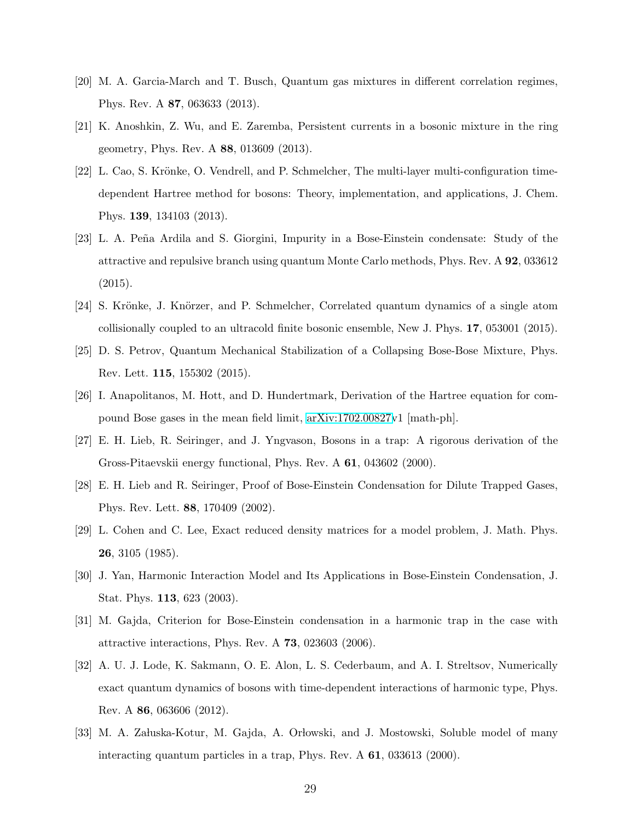- [20] M. A. Garcia-March and T. Busch, Quantum gas mixtures in different correlation regimes, Phys. Rev. A 87, 063633 (2013).
- [21] K. Anoshkin, Z. Wu, and E. Zaremba, Persistent currents in a bosonic mixture in the ring geometry, Phys. Rev. A 88, 013609 (2013).
- [22] L. Cao, S. Krönke, O. Vendrell, and P. Schmelcher, The multi-layer multi-configuration timedependent Hartree method for bosons: Theory, implementation, and applications, J. Chem. Phys. 139, 134103 (2013).
- [23] L. A. Peña Ardila and S. Giorgini, Impurity in a Bose-Einstein condensate: Study of the attractive and repulsive branch using quantum Monte Carlo methods, Phys. Rev. A 92, 033612 (2015).
- [24] S. Krönke, J. Knörzer, and P. Schmelcher, Correlated quantum dynamics of a single atom collisionally coupled to an ultracold finite bosonic ensemble, New J. Phys. 17, 053001 (2015).
- [25] D. S. Petrov, Quantum Mechanical Stabilization of a Collapsing Bose-Bose Mixture, Phys. Rev. Lett. 115, 155302 (2015).
- <span id="page-28-0"></span>[26] I. Anapolitanos, M. Hott, and D. Hundertmark, Derivation of the Hartree equation for compound Bose gases in the mean field limit, [arXiv:1702.00827v](http://arxiv.org/abs/1702.00827)1 [math-ph].
- <span id="page-28-1"></span>[27] E. H. Lieb, R. Seiringer, and J. Yngvason, Bosons in a trap: A rigorous derivation of the Gross-Pitaevskii energy functional, Phys. Rev. A 61, 043602 (2000).
- <span id="page-28-2"></span>[28] E. H. Lieb and R. Seiringer, Proof of Bose-Einstein Condensation for Dilute Trapped Gases, Phys. Rev. Lett. 88, 170409 (2002).
- <span id="page-28-3"></span>[29] L. Cohen and C. Lee, Exact reduced density matrices for a model problem, J. Math. Phys. 26, 3105 (1985).
- [30] J. Yan, Harmonic Interaction Model and Its Applications in Bose-Einstein Condensation, J. Stat. Phys. 113, 623 (2003).
- [31] M. Gajda, Criterion for Bose-Einstein condensation in a harmonic trap in the case with attractive interactions, Phys. Rev. A 73, 023603 (2006).
- [32] A. U. J. Lode, K. Sakmann, O. E. Alon, L. S. Cederbaum, and A. I. Streltsov, Numerically exact quantum dynamics of bosons with time-dependent interactions of harmonic type, Phys. Rev. A 86, 063606 (2012).
- <span id="page-28-4"></span>[33] M. A. Załuska-Kotur, M. Gajda, A. Orłowski, and J. Mostowski, Soluble model of many interacting quantum particles in a trap, Phys. Rev. A 61, 033613 (2000).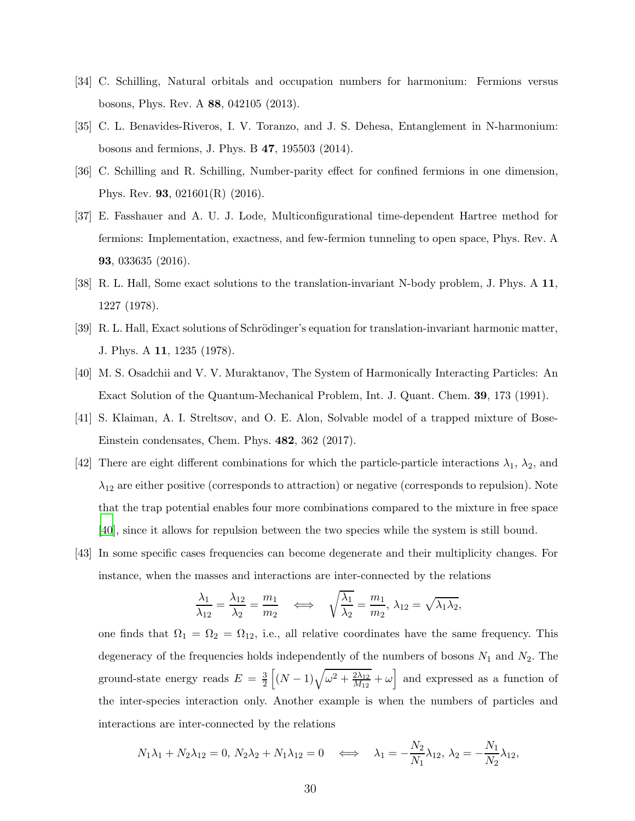- [34] C. Schilling, Natural orbitals and occupation numbers for harmonium: Fermions versus bosons, Phys. Rev. A 88, 042105 (2013).
- <span id="page-29-0"></span>[35] C. L. Benavides-Riveros, I. V. Toranzo, and J. S. Dehesa, Entanglement in N-harmonium: bosons and fermions, J. Phys. B 47, 195503 (2014).
- [36] C. Schilling and R. Schilling, Number-parity effect for confined fermions in one dimension, Phys. Rev. 93, 021601(R) (2016).
- <span id="page-29-1"></span>[37] E. Fasshauer and A. U. J. Lode, Multiconfigurational time-dependent Hartree method for fermions: Implementation, exactness, and few-fermion tunneling to open space, Phys. Rev. A 93, 033635 (2016).
- <span id="page-29-2"></span>[38] R. L. Hall, Some exact solutions to the translation-invariant N-body problem, J. Phys. A 11, 1227 (1978).
- [39] R. L. Hall, Exact solutions of Schrödinger's equation for translation-invariant harmonic matter, J. Phys. A 11, 1235 (1978).
- <span id="page-29-3"></span>[40] M. S. Osadchii and V. V. Muraktanov, The System of Harmonically Interacting Particles: An Exact Solution of the Quantum-Mechanical Problem, Int. J. Quant. Chem. 39, 173 (1991).
- <span id="page-29-4"></span>[41] S. Klaiman, A. I. Streltsov, and O. E. Alon, Solvable model of a trapped mixture of Bose-Einstein condensates, Chem. Phys. 482, 362 (2017).
- <span id="page-29-5"></span>[42] There are eight different combinations for which the particle-particle interactions  $\lambda_1$ ,  $\lambda_2$ , and  $\lambda_{12}$  are either positive (corresponds to attraction) or negative (corresponds to repulsion). Note that the trap potential enables four more combinations compared to the mixture in free space [\[40\]](#page-29-3), since it allows for repulsion between the two species while the system is still bound.
- <span id="page-29-6"></span>[43] In some specific cases frequencies can become degenerate and their multiplicity changes. For instance, when the masses and interactions are inter-connected by the relations

$$
\frac{\lambda_1}{\lambda_{12}} = \frac{\lambda_{12}}{\lambda_2} = \frac{m_1}{m_2} \quad \Longleftrightarrow \quad \sqrt{\frac{\lambda_1}{\lambda_2}} = \frac{m_1}{m_2}, \ \lambda_{12} = \sqrt{\lambda_1 \lambda_2},
$$

one finds that  $\Omega_1 = \Omega_2 = \Omega_{12}$ , i.e., all relative coordinates have the same frequency. This degeneracy of the frequencies holds independently of the numbers of bosons  $N_1$  and  $N_2$ . The ground-state energy reads  $E = \frac{3}{2} \left[ (N-1) \sqrt{\omega^2 + \frac{2\lambda_{12}}{M_{12}}} \right]$  $\sqrt{\frac{2\lambda_{12}}{M_{12}}} + \omega$  and expressed as a function of the inter-species interaction only. Another example is when the numbers of particles and interactions are inter-connected by the relations

$$
N_1\lambda_1 + N_2\lambda_{12} = 0, N_2\lambda_2 + N_1\lambda_{12} = 0 \quad \Longleftrightarrow \quad \lambda_1 = -\frac{N_2}{N_1}\lambda_{12}, \lambda_2 = -\frac{N_1}{N_2}\lambda_{12},
$$